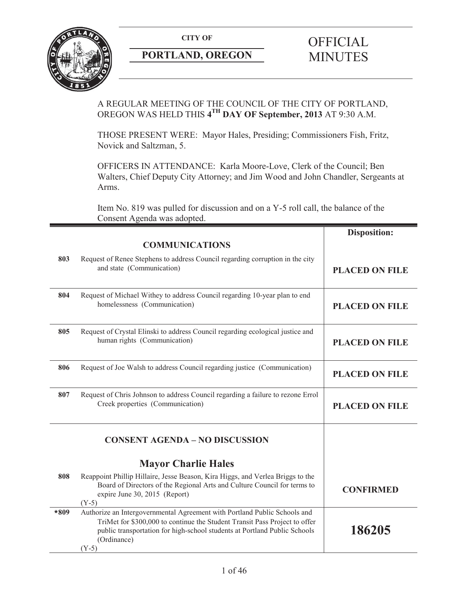

# **PORTLAND, OREGON MINUTES**

# **CITY OF** OFFICIAL

# A REGULAR MEETING OF THE COUNCIL OF THE CITY OF PORTLAND, OREGON WAS HELD THIS **4TH DAY OF September, 2013** AT 9:30 A.M.

THOSE PRESENT WERE: Mayor Hales, Presiding; Commissioners Fish, Fritz, Novick and Saltzman, 5.

OFFICERS IN ATTENDANCE: Karla Moore-Love, Clerk of the Council; Ben Walters, Chief Deputy City Attorney; and Jim Wood and John Chandler, Sergeants at Arms.

Item No. 819 was pulled for discussion and on a Y-5 roll call, the balance of the Consent Agenda was adopted.

|      |                                                                                                                                                                                                                                                                | <b>Disposition:</b>   |
|------|----------------------------------------------------------------------------------------------------------------------------------------------------------------------------------------------------------------------------------------------------------------|-----------------------|
|      | <b>COMMUNICATIONS</b>                                                                                                                                                                                                                                          |                       |
| 803  | Request of Renee Stephens to address Council regarding corruption in the city<br>and state (Communication)                                                                                                                                                     | <b>PLACED ON FILE</b> |
| 804  | Request of Michael Withey to address Council regarding 10-year plan to end<br>homelessness (Communication)                                                                                                                                                     | <b>PLACED ON FILE</b> |
| 805  | Request of Crystal Elinski to address Council regarding ecological justice and<br>human rights (Communication)                                                                                                                                                 | <b>PLACED ON FILE</b> |
| 806  | Request of Joe Walsh to address Council regarding justice (Communication)                                                                                                                                                                                      | <b>PLACED ON FILE</b> |
| 807  | Request of Chris Johnson to address Council regarding a failure to rezone Errol<br>Creek properties (Communication)                                                                                                                                            | <b>PLACED ON FILE</b> |
|      | <b>CONSENT AGENDA - NO DISCUSSION</b>                                                                                                                                                                                                                          |                       |
|      | <b>Mayor Charlie Hales</b>                                                                                                                                                                                                                                     |                       |
| 808  | Reappoint Phillip Hillaire, Jesse Beason, Kira Higgs, and Verlea Briggs to the<br>Board of Directors of the Regional Arts and Culture Council for terms to<br>expire June 30, 2015 (Report)<br>$(Y-5)$                                                         | <b>CONFIRMED</b>      |
| *809 | Authorize an Intergovernmental Agreement with Portland Public Schools and<br>TriMet for \$300,000 to continue the Student Transit Pass Project to offer<br>public transportation for high-school students at Portland Public Schools<br>(Ordinance)<br>$(Y-5)$ | 186205                |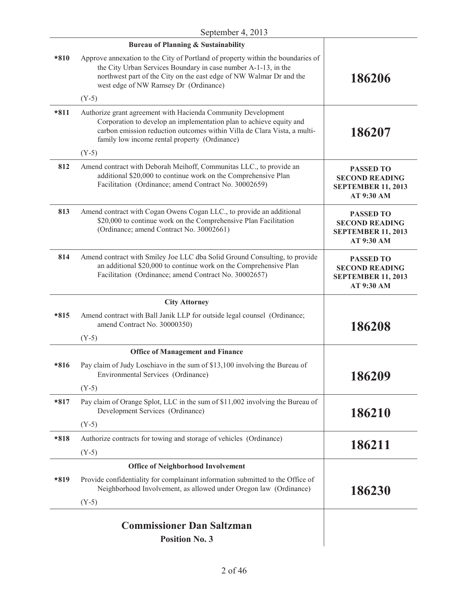|        | <b>Bureau of Planning &amp; Sustainability</b>                                                                                                                                                                                                                    |                                                                                      |
|--------|-------------------------------------------------------------------------------------------------------------------------------------------------------------------------------------------------------------------------------------------------------------------|--------------------------------------------------------------------------------------|
| $*810$ | Approve annexation to the City of Portland of property within the boundaries of<br>the City Urban Services Boundary in case number A-1-13, in the<br>northwest part of the City on the east edge of NW Walmar Dr and the<br>west edge of NW Ramsey Dr (Ordinance) | 186206                                                                               |
|        | $(Y-5)$                                                                                                                                                                                                                                                           |                                                                                      |
| $*811$ | Authorize grant agreement with Hacienda Community Development<br>Corporation to develop an implementation plan to achieve equity and<br>carbon emission reduction outcomes within Villa de Clara Vista, a multi-<br>family low income rental property (Ordinance) | 186207                                                                               |
|        | $(Y-5)$                                                                                                                                                                                                                                                           |                                                                                      |
| 812    | Amend contract with Deborah Meihoff, Communitas LLC., to provide an<br>additional \$20,000 to continue work on the Comprehensive Plan<br>Facilitation (Ordinance; amend Contract No. 30002659)                                                                    | <b>PASSED TO</b><br><b>SECOND READING</b><br><b>SEPTEMBER 11, 2013</b><br>AT 9:30 AM |
| 813    | Amend contract with Cogan Owens Cogan LLC., to provide an additional<br>\$20,000 to continue work on the Comprehensive Plan Facilitation<br>(Ordinance; amend Contract No. 30002661)                                                                              | <b>PASSED TO</b><br><b>SECOND READING</b><br><b>SEPTEMBER 11, 2013</b><br>AT 9:30 AM |
| 814    | Amend contract with Smiley Joe LLC dba Solid Ground Consulting, to provide<br>an additional \$20,000 to continue work on the Comprehensive Plan<br>Facilitation (Ordinance; amend Contract No. 30002657)                                                          | <b>PASSED TO</b><br><b>SECOND READING</b><br><b>SEPTEMBER 11, 2013</b><br>AT 9:30 AM |
|        | <b>City Attorney</b>                                                                                                                                                                                                                                              |                                                                                      |
| $*815$ | Amend contract with Ball Janik LLP for outside legal counsel (Ordinance;<br>amend Contract No. 30000350)                                                                                                                                                          | 186208                                                                               |
|        | $(Y-5)$                                                                                                                                                                                                                                                           |                                                                                      |
|        | <b>Office of Management and Finance</b>                                                                                                                                                                                                                           |                                                                                      |
| $*816$ | Pay claim of Judy Loschiavo in the sum of \$13,100 involving the Bureau of<br>Environmental Services (Ordinance)                                                                                                                                                  | 186209                                                                               |
|        | $(Y-5)$                                                                                                                                                                                                                                                           |                                                                                      |
| $*817$ | Pay claim of Orange Splot, LLC in the sum of \$11,002 involving the Bureau of<br>Development Services (Ordinance)                                                                                                                                                 | 186210                                                                               |
|        | $(Y-5)$                                                                                                                                                                                                                                                           |                                                                                      |
| $*818$ | Authorize contracts for towing and storage of vehicles (Ordinance)                                                                                                                                                                                                | 186211                                                                               |
|        | $(Y-5)$                                                                                                                                                                                                                                                           |                                                                                      |
|        | <b>Office of Neighborhood Involvement</b>                                                                                                                                                                                                                         |                                                                                      |
| $*819$ | Provide confidentiality for complainant information submitted to the Office of<br>Neighborhood Involvement, as allowed under Oregon law (Ordinance)                                                                                                               | 186230                                                                               |
|        | $(Y-5)$                                                                                                                                                                                                                                                           |                                                                                      |
|        | <b>Commissioner Dan Saltzman</b>                                                                                                                                                                                                                                  |                                                                                      |

**Position No. 3**

 $\mathbf{I}$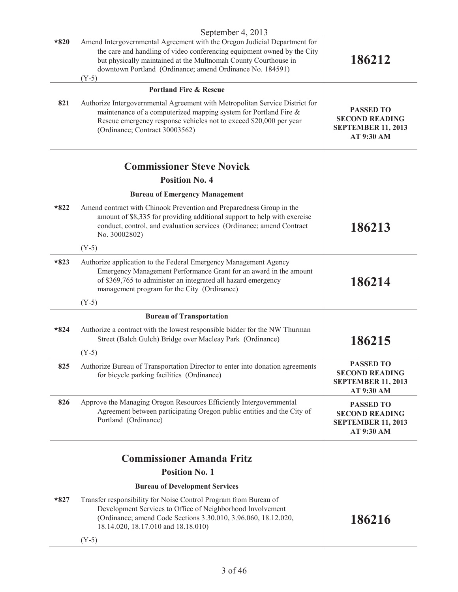|        | September 4, 2013                                                                                                                                                                                                                                                                               |                                                                                      |
|--------|-------------------------------------------------------------------------------------------------------------------------------------------------------------------------------------------------------------------------------------------------------------------------------------------------|--------------------------------------------------------------------------------------|
| $*820$ | Amend Intergovernmental Agreement with the Oregon Judicial Department for<br>the care and handling of video conferencing equipment owned by the City<br>but physically maintained at the Multnomah County Courthouse in<br>downtown Portland (Ordinance; amend Ordinance No. 184591)<br>$(Y-5)$ | 186212                                                                               |
|        | <b>Portland Fire &amp; Rescue</b>                                                                                                                                                                                                                                                               |                                                                                      |
| 821    | Authorize Intergovernmental Agreement with Metropolitan Service District for<br>maintenance of a computerized mapping system for Portland Fire $\&$<br>Rescue emergency response vehicles not to exceed \$20,000 per year<br>(Ordinance; Contract 30003562)                                     | <b>PASSED TO</b><br><b>SECOND READING</b><br><b>SEPTEMBER 11, 2013</b><br>AT 9:30 AM |
|        | <b>Commissioner Steve Novick</b>                                                                                                                                                                                                                                                                |                                                                                      |
|        | <b>Position No. 4</b>                                                                                                                                                                                                                                                                           |                                                                                      |
|        | <b>Bureau of Emergency Management</b>                                                                                                                                                                                                                                                           |                                                                                      |
| $*822$ | Amend contract with Chinook Prevention and Preparedness Group in the<br>amount of \$8,335 for providing additional support to help with exercise<br>conduct, control, and evaluation services (Ordinance; amend Contract<br>No. 30002802)                                                       | 186213                                                                               |
|        | $(Y-5)$                                                                                                                                                                                                                                                                                         |                                                                                      |
| $*823$ | Authorize application to the Federal Emergency Management Agency<br>Emergency Management Performance Grant for an award in the amount<br>of \$369,765 to administer an integrated all hazard emergency<br>management program for the City (Ordinance)                                           | 186214                                                                               |
|        | $(Y-5)$                                                                                                                                                                                                                                                                                         |                                                                                      |
|        | <b>Bureau of Transportation</b>                                                                                                                                                                                                                                                                 |                                                                                      |
| $*824$ | Authorize a contract with the lowest responsible bidder for the NW Thurman<br>Street (Balch Gulch) Bridge over Macleay Park (Ordinance)                                                                                                                                                         | 186215                                                                               |
|        | $(Y-5)$                                                                                                                                                                                                                                                                                         |                                                                                      |
| 825    | Authorize Bureau of Transportation Director to enter into donation agreements<br>for bicycle parking facilities (Ordinance)                                                                                                                                                                     | <b>PASSED TO</b><br><b>SECOND READING</b><br><b>SEPTEMBER 11, 2013</b><br>AT 9:30 AM |
| 826    | Approve the Managing Oregon Resources Efficiently Intergovernmental<br>Agreement between participating Oregon public entities and the City of<br>Portland (Ordinance)                                                                                                                           | <b>PASSED TO</b><br><b>SECOND READING</b><br><b>SEPTEMBER 11, 2013</b><br>AT 9:30 AM |
|        | <b>Commissioner Amanda Fritz</b>                                                                                                                                                                                                                                                                |                                                                                      |
|        | <b>Position No. 1</b>                                                                                                                                                                                                                                                                           |                                                                                      |
|        | <b>Bureau of Development Services</b>                                                                                                                                                                                                                                                           |                                                                                      |
| $*827$ | Transfer responsibility for Noise Control Program from Bureau of<br>Development Services to Office of Neighborhood Involvement<br>(Ordinance; amend Code Sections 3.30.010, 3.96.060, 18.12.020,<br>18.14.020, 18.17.010 and 18.18.010)                                                         | 186216                                                                               |
|        | $(Y-5)$                                                                                                                                                                                                                                                                                         |                                                                                      |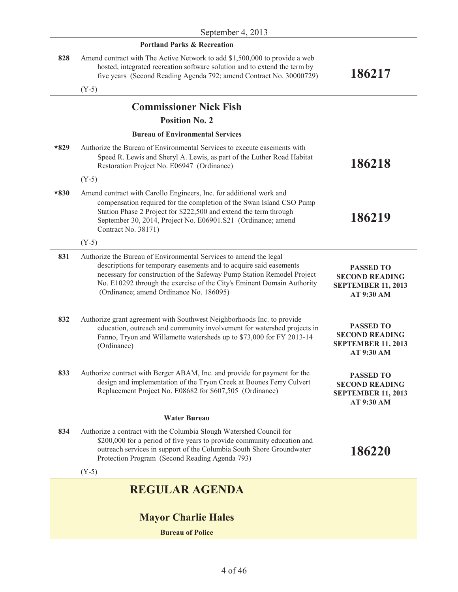|        | <b>Portland Parks &amp; Recreation</b>                                                                                                                                                                                                                                                                                                 |                                                                                      |
|--------|----------------------------------------------------------------------------------------------------------------------------------------------------------------------------------------------------------------------------------------------------------------------------------------------------------------------------------------|--------------------------------------------------------------------------------------|
| 828    | Amend contract with The Active Network to add \$1,500,000 to provide a web<br>hosted, integrated recreation software solution and to extend the term by<br>five years (Second Reading Agenda 792; amend Contract No. 30000729)                                                                                                         | 186217                                                                               |
|        | $(Y-5)$                                                                                                                                                                                                                                                                                                                                |                                                                                      |
|        | <b>Commissioner Nick Fish</b>                                                                                                                                                                                                                                                                                                          |                                                                                      |
|        | <b>Position No. 2</b>                                                                                                                                                                                                                                                                                                                  |                                                                                      |
|        | <b>Bureau of Environmental Services</b>                                                                                                                                                                                                                                                                                                |                                                                                      |
| $*829$ | Authorize the Bureau of Environmental Services to execute easements with<br>Speed R. Lewis and Sheryl A. Lewis, as part of the Luther Road Habitat<br>Restoration Project No. E06947 (Ordinance)                                                                                                                                       | 186218                                                                               |
|        | $(Y-5)$                                                                                                                                                                                                                                                                                                                                |                                                                                      |
| $*830$ | Amend contract with Carollo Engineers, Inc. for additional work and<br>compensation required for the completion of the Swan Island CSO Pump<br>Station Phase 2 Project for \$222,500 and extend the term through<br>September 30, 2014, Project No. E06901.S21 (Ordinance; amend<br>Contract No. 38171)                                | 186219                                                                               |
|        | $(Y-5)$                                                                                                                                                                                                                                                                                                                                |                                                                                      |
| 831    | Authorize the Bureau of Environmental Services to amend the legal<br>descriptions for temporary easements and to acquire said easements<br>necessary for construction of the Safeway Pump Station Remodel Project<br>No. E10292 through the exercise of the City's Eminent Domain Authority<br>(Ordinance; amend Ordinance No. 186095) | <b>PASSED TO</b><br><b>SECOND READING</b><br><b>SEPTEMBER 11, 2013</b><br>AT 9:30 AM |
| 832    | Authorize grant agreement with Southwest Neighborhoods Inc. to provide<br>education, outreach and community involvement for watershed projects in<br>Fanno, Tryon and Willamette watersheds up to \$73,000 for FY 2013-14<br>(Ordinance)                                                                                               | <b>PASSED TO</b><br><b>SECOND READING</b><br><b>SEPTEMBER 11, 2013</b><br>AT 9:30 AM |
| 833    | Authorize contract with Berger ABAM, Inc. and provide for payment for the<br>design and implementation of the Tryon Creek at Boones Ferry Culvert<br>Replacement Project No. E08682 for \$607,505 (Ordinance)                                                                                                                          | <b>PASSED TO</b><br><b>SECOND READING</b><br><b>SEPTEMBER 11, 2013</b><br>AT 9:30 AM |
|        | <b>Water Bureau</b>                                                                                                                                                                                                                                                                                                                    |                                                                                      |
| 834    | Authorize a contract with the Columbia Slough Watershed Council for<br>\$200,000 for a period of five years to provide community education and<br>outreach services in support of the Columbia South Shore Groundwater<br>Protection Program (Second Reading Agenda 793)<br>$(Y-5)$                                                    | 186220                                                                               |
|        | <b>REGULAR AGENDA</b>                                                                                                                                                                                                                                                                                                                  |                                                                                      |
|        |                                                                                                                                                                                                                                                                                                                                        |                                                                                      |
|        | <b>Mayor Charlie Hales</b>                                                                                                                                                                                                                                                                                                             |                                                                                      |
|        | <b>Bureau of Police</b>                                                                                                                                                                                                                                                                                                                |                                                                                      |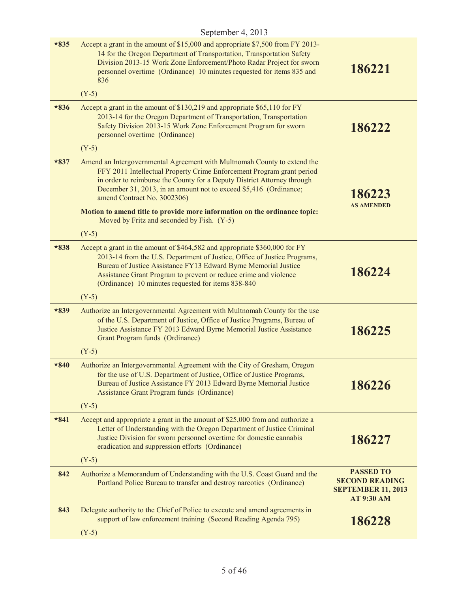| $*835$ | Accept a grant in the amount of \$15,000 and appropriate \$7,500 from FY 2013-<br>14 for the Oregon Department of Transportation, Transportation Safety<br>Division 2013-15 Work Zone Enforcement/Photo Radar Project for sworn<br>personnel overtime (Ordinance) 10 minutes requested for items 835 and<br>836                                     | 186221                                                                                      |
|--------|-----------------------------------------------------------------------------------------------------------------------------------------------------------------------------------------------------------------------------------------------------------------------------------------------------------------------------------------------------|---------------------------------------------------------------------------------------------|
|        | $(Y-5)$                                                                                                                                                                                                                                                                                                                                             |                                                                                             |
| $*836$ | Accept a grant in the amount of \$130,219 and appropriate \$65,110 for FY<br>2013-14 for the Oregon Department of Transportation, Transportation<br>Safety Division 2013-15 Work Zone Enforcement Program for sworn<br>personnel overtime (Ordinance)                                                                                               | 186222                                                                                      |
|        | $(Y-5)$                                                                                                                                                                                                                                                                                                                                             |                                                                                             |
| $*837$ | Amend an Intergovernmental Agreement with Multnomah County to extend the<br>FFY 2011 Intellectual Property Crime Enforcement Program grant period<br>in order to reimburse the County for a Deputy District Attorney through<br>December 31, 2013, in an amount not to exceed \$5,416 (Ordinance;<br>amend Contract No. 3002306)                    | 186223<br><b>AS AMENDED</b>                                                                 |
|        | Motion to amend title to provide more information on the ordinance topic:<br>Moved by Fritz and seconded by Fish. (Y-5)                                                                                                                                                                                                                             |                                                                                             |
|        | $(Y-5)$                                                                                                                                                                                                                                                                                                                                             |                                                                                             |
| $*838$ | Accept a grant in the amount of \$464,582 and appropriate \$360,000 for FY<br>2013-14 from the U.S. Department of Justice, Office of Justice Programs,<br>Bureau of Justice Assistance FY13 Edward Byrne Memorial Justice<br>Assistance Grant Program to prevent or reduce crime and violence<br>(Ordinance) 10 minutes requested for items 838-840 | 186224                                                                                      |
|        | $(Y-5)$                                                                                                                                                                                                                                                                                                                                             |                                                                                             |
| $*839$ | Authorize an Intergovernmental Agreement with Multnomah County for the use<br>of the U.S. Department of Justice, Office of Justice Programs, Bureau of<br>Justice Assistance FY 2013 Edward Byrne Memorial Justice Assistance<br>Grant Program funds (Ordinance)                                                                                    | 186225                                                                                      |
|        | $(Y-5)$                                                                                                                                                                                                                                                                                                                                             |                                                                                             |
| $*840$ | Authorize an Intergovernmental Agreement with the City of Gresham, Oregon<br>for the use of U.S. Department of Justice, Office of Justice Programs,<br>Bureau of Justice Assistance FY 2013 Edward Byrne Memorial Justice<br><b>Assistance Grant Program funds (Ordinance)</b><br>$(Y-5)$                                                           | 186226                                                                                      |
| $*841$ | Accept and appropriate a grant in the amount of \$25,000 from and authorize a<br>Letter of Understanding with the Oregon Department of Justice Criminal<br>Justice Division for sworn personnel overtime for domestic cannabis<br>eradication and suppression efforts (Ordinance)<br>$(Y-5)$                                                        | 186227                                                                                      |
| 842    | Authorize a Memorandum of Understanding with the U.S. Coast Guard and the<br>Portland Police Bureau to transfer and destroy narcotics (Ordinance)                                                                                                                                                                                                   | <b>PASSED TO</b><br><b>SECOND READING</b><br><b>SEPTEMBER 11, 2013</b><br><b>AT 9:30 AM</b> |
| 843    | Delegate authority to the Chief of Police to execute and amend agreements in<br>support of law enforcement training (Second Reading Agenda 795)<br>$(Y-5)$                                                                                                                                                                                          | 186228                                                                                      |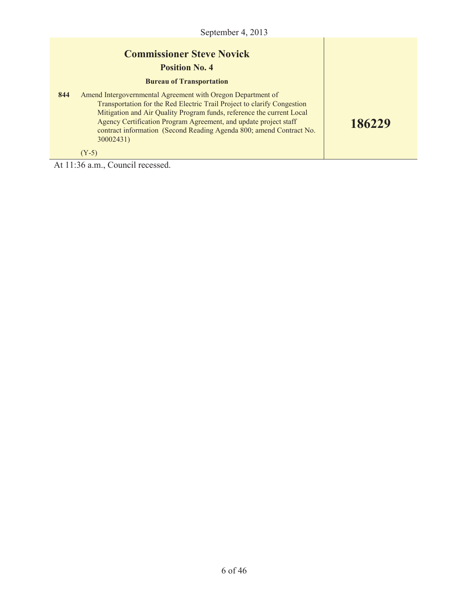**186229**

# **Commissioner Steve Novick**

#### **Position No. 4**

#### **Bureau of Transportation**

**844** Amend Intergovernmental Agreement with Oregon Department of Transportation for the Red Electric Trail Project to clarify Congestion Mitigation and Air Quality Program funds, reference the current Local Agency Certification Program Agreement, and update project staff contract information (Second Reading Agenda 800; amend Contract No. 30002431)

 $(Y-5)$ 

At 11:36 a.m., Council recessed.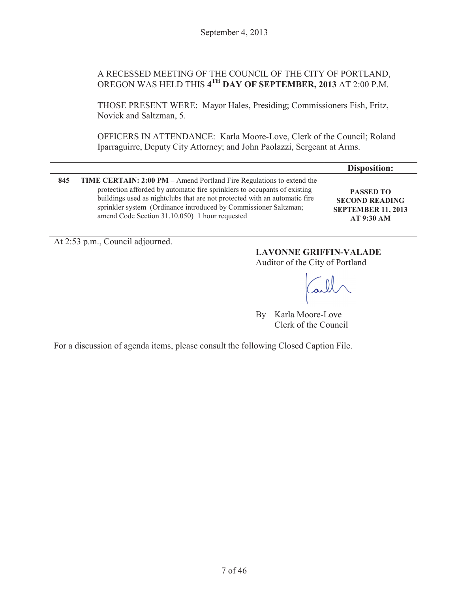#### A RECESSED MEETING OF THE COUNCIL OF THE CITY OF PORTLAND, OREGON WAS HELD THIS **4TH DAY OF SEPTEMBER, 2013** AT 2:00 P.M.

THOSE PRESENT WERE: Mayor Hales, Presiding; Commissioners Fish, Fritz, Novick and Saltzman, 5.

OFFICERS IN ATTENDANCE: Karla Moore-Love, Clerk of the Council; Roland Iparraguirre, Deputy City Attorney; and John Paolazzi, Sergeant at Arms.

|     |                                                                                                                                                                                                                                                                                                                                                        | Disposition:                                                                                |
|-----|--------------------------------------------------------------------------------------------------------------------------------------------------------------------------------------------------------------------------------------------------------------------------------------------------------------------------------------------------------|---------------------------------------------------------------------------------------------|
| 845 | TIME CERTAIN: 2:00 PM – Amend Portland Fire Regulations to extend the<br>protection afforded by automatic fire sprinklers to occupants of existing<br>buildings used as nightclubs that are not protected with an automatic fire<br>sprinkler system (Ordinance introduced by Commissioner Saltzman;<br>amend Code Section 31.10.050) 1 hour requested | <b>PASSED TO</b><br><b>SECOND READING</b><br><b>SEPTEMBER 11, 2013</b><br><b>AT 9:30 AM</b> |

At 2:53 p.m., Council adjourned.

# **LAVONNE GRIFFIN-VALADE**

Auditor of the City of Portland

By Karla Moore-Love Clerk of the Council

For a discussion of agenda items, please consult the following Closed Caption File.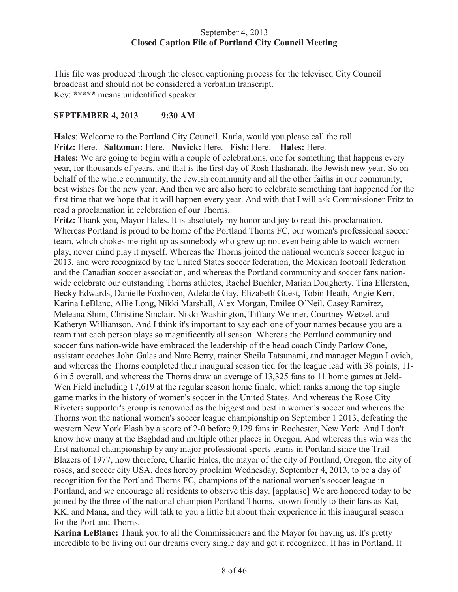#### September 4, 2013 **Closed Caption File of Portland City Council Meeting**

This file was produced through the closed captioning process for the televised City Council broadcast and should not be considered a verbatim transcript. Key: **\*\*\*\*\*** means unidentified speaker.

#### **SEPTEMBER 4, 2013 9:30 AM**

**Hales**: Welcome to the Portland City Council. Karla, would you please call the roll. **Fritz:** Here. **Saltzman:** Here. **Novick:** Here. **Fish:** Here. **Hales:** Here.

**Hales:** We are going to begin with a couple of celebrations, one for something that happens every year, for thousands of years, and that is the first day of Rosh Hashanah, the Jewish new year. So on behalf of the whole community, the Jewish community and all the other faiths in our community, best wishes for the new year. And then we are also here to celebrate something that happened for the first time that we hope that it will happen every year. And with that I will ask Commissioner Fritz to read a proclamation in celebration of our Thorns.

**Fritz:** Thank you, Mayor Hales. It is absolutely my honor and joy to read this proclamation. Whereas Portland is proud to be home of the Portland Thorns FC, our women's professional soccer team, which chokes me right up as somebody who grew up not even being able to watch women play, never mind play it myself. Whereas the Thorns joined the national women's soccer league in 2013, and were recognized by the United States soccer federation, the Mexican football federation and the Canadian soccer association, and whereas the Portland community and soccer fans nationwide celebrate our outstanding Thorns athletes, Rachel Buehler, Marian Dougherty, Tina Ellerston, Becky Edwards, Danielle Foxhoven, Adelaide Gay, Elizabeth Guest, Tobin Heath, Angie Kerr, Karina LeBlanc, Allie Long, Nikki Marshall, Alex Morgan, Emilee O'Neil, Casey Ramirez, Meleana Shim, Christine Sinclair, Nikki Washington, Tiffany Weimer, Courtney Wetzel, and Katheryn Williamson. And I think it's important to say each one of your names because you are a team that each person plays so magnificently all season. Whereas the Portland community and soccer fans nation-wide have embraced the leadership of the head coach Cindy Parlow Cone, assistant coaches John Galas and Nate Berry, trainer Sheila Tatsunami, and manager Megan Lovich, and whereas the Thorns completed their inaugural season tied for the league lead with 38 points, 11- 6 in 5 overall, and whereas the Thorns draw an average of 13,325 fans to 11 home games at Jeld-Wen Field including 17,619 at the regular season home finale, which ranks among the top single game marks in the history of women's soccer in the United States. And whereas the Rose City Riveters supporter's group is renowned as the biggest and best in women's soccer and whereas the Thorns won the national women's soccer league championship on September 1 2013, defeating the western New York Flash by a score of 2-0 before 9,129 fans in Rochester, New York. And I don't know how many at the Baghdad and multiple other places in Oregon. And whereas this win was the first national championship by any major professional sports teams in Portland since the Trail Blazers of 1977, now therefore, Charlie Hales, the mayor of the city of Portland, Oregon, the city of roses, and soccer city USA, does hereby proclaim Wednesday, September 4, 2013, to be a day of recognition for the Portland Thorns FC, champions of the national women's soccer league in Portland, and we encourage all residents to observe this day. [applause] We are honored today to be joined by the three of the national champion Portland Thorns, known fondly to their fans as Kat, KK, and Mana, and they will talk to you a little bit about their experience in this inaugural season for the Portland Thorns.

**Karina LeBlanc:** Thank you to all the Commissioners and the Mayor for having us. It's pretty incredible to be living out our dreams every single day and get it recognized. It has in Portland. It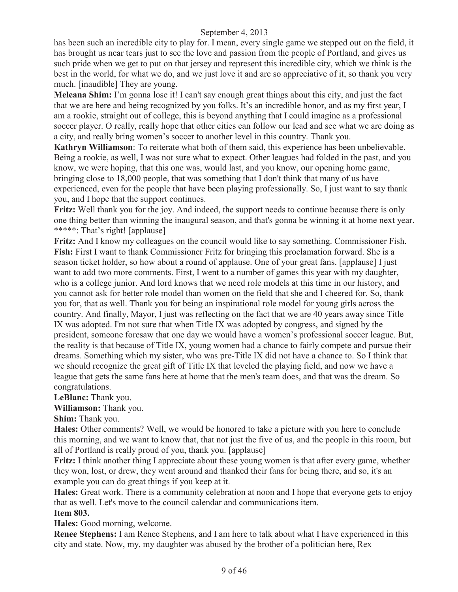has been such an incredible city to play for. I mean, every single game we stepped out on the field, it has brought us near tears just to see the love and passion from the people of Portland, and gives us such pride when we get to put on that jersey and represent this incredible city, which we think is the best in the world, for what we do, and we just love it and are so appreciative of it, so thank you very much. [inaudible] They are young.

**Meleana Shim:** I'm gonna lose it! I can't say enough great things about this city, and just the fact that we are here and being recognized by you folks. It's an incredible honor, and as my first year, I am a rookie, straight out of college, this is beyond anything that I could imagine as a professional soccer player. O really, really hope that other cities can follow our lead and see what we are doing as a city, and really bring women's soccer to another level in this country. Thank you.

**Kathryn Williamson**: To reiterate what both of them said, this experience has been unbelievable. Being a rookie, as well, I was not sure what to expect. Other leagues had folded in the past, and you know, we were hoping, that this one was, would last, and you know, our opening home game, bringing close to 18,000 people, that was something that I don't think that many of us have experienced, even for the people that have been playing professionally. So, I just want to say thank you, and I hope that the support continues.

**Fritz:** Well thank you for the joy. And indeed, the support needs to continue because there is only one thing better than winning the inaugural season, and that's gonna be winning it at home next year. \*\*\*\*\*: That's right! [applause]

**Fritz:** And I know my colleagues on the council would like to say something. Commissioner Fish. **Fish:** First I want to thank Commissioner Fritz for bringing this proclamation forward. She is a season ticket holder, so how about a round of applause. One of your great fans. [applause] I just want to add two more comments. First, I went to a number of games this year with my daughter, who is a college junior. And lord knows that we need role models at this time in our history, and you cannot ask for better role model than women on the field that she and I cheered for. So, thank you for, that as well. Thank you for being an inspirational role model for young girls across the country. And finally, Mayor, I just was reflecting on the fact that we are 40 years away since Title IX was adopted. I'm not sure that when Title IX was adopted by congress, and signed by the president, someone foresaw that one day we would have a women's professional soccer league. But, the reality is that because of Title IX, young women had a chance to fairly compete and pursue their dreams. Something which my sister, who was pre-Title IX did not have a chance to. So I think that we should recognize the great gift of Title IX that leveled the playing field, and now we have a league that gets the same fans here at home that the men's team does, and that was the dream. So congratulations.

#### **LeBlanc:** Thank you.

#### **Williamson:** Thank you.

**Shim:** Thank you.

**Hales:** Other comments? Well, we would be honored to take a picture with you here to conclude this morning, and we want to know that, that not just the five of us, and the people in this room, but all of Portland is really proud of you, thank you. [applause]

**Fritz:** I think another thing I appreciate about these young women is that after every game, whether they won, lost, or drew, they went around and thanked their fans for being there, and so, it's an example you can do great things if you keep at it.

**Hales:** Great work. There is a community celebration at noon and I hope that everyone gets to enjoy that as well. Let's move to the council calendar and communications item.

#### **Item 803.**

**Hales:** Good morning, welcome.

**Renee Stephens:** I am Renee Stephens, and I am here to talk about what I have experienced in this city and state. Now, my, my daughter was abused by the brother of a politician here, Rex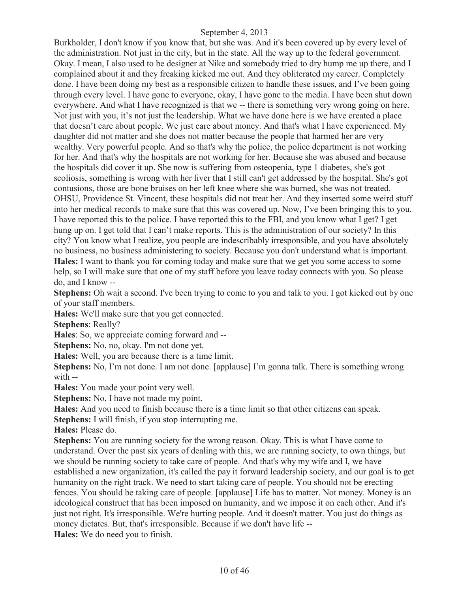Burkholder, I don't know if you know that, but she was. And it's been covered up by every level of the administration. Not just in the city, but in the state. All the way up to the federal government. Okay. I mean, I also used to be designer at Nike and somebody tried to dry hump me up there, and I complained about it and they freaking kicked me out. And they obliterated my career. Completely done. I have been doing my best as a responsible citizen to handle these issues, and I've been going through every level. I have gone to everyone, okay, I have gone to the media. I have been shut down everywhere. And what I have recognized is that we -- there is something very wrong going on here. Not just with you, it's not just the leadership. What we have done here is we have created a place that doesn't care about people. We just care about money. And that's what I have experienced. My daughter did not matter and she does not matter because the people that harmed her are very wealthy. Very powerful people. And so that's why the police, the police department is not working for her. And that's why the hospitals are not working for her. Because she was abused and because the hospitals did cover it up. She now is suffering from osteopenia, type 1 diabetes, she's got scoliosis, something is wrong with her liver that I still can't get addressed by the hospital. She's got contusions, those are bone bruises on her left knee where she was burned, she was not treated. OHSU, Providence St. Vincent, these hospitals did not treat her. And they inserted some weird stuff into her medical records to make sure that this was covered up. Now, I've been bringing this to you. I have reported this to the police. I have reported this to the FBI, and you know what I get? I get hung up on. I get told that I can't make reports. This is the administration of our society? In this city? You know what I realize, you people are indescribably irresponsible, and you have absolutely no business, no business administering to society. Because you don't understand what is important. **Hales:** I want to thank you for coming today and make sure that we get you some access to some help, so I will make sure that one of my staff before you leave today connects with you. So please do, and I know --

**Stephens:** Oh wait a second. I've been trying to come to you and talk to you. I got kicked out by one of your staff members.

**Hales:** We'll make sure that you get connected.

**Stephens**: Really?

**Hales**: So, we appreciate coming forward and --

**Stephens:** No, no, okay. I'm not done yet.

**Hales:** Well, you are because there is a time limit.

**Stephens:** No, I'm not done. I am not done. [applause] I'm gonna talk. There is something wrong with --

**Hales:** You made your point very well.

**Stephens:** No, I have not made my point.

**Hales:** And you need to finish because there is a time limit so that other citizens can speak.

**Stephens:** I will finish, if you stop interrupting me.

**Hales:** Please do.

**Stephens:** You are running society for the wrong reason. Okay. This is what I have come to understand. Over the past six years of dealing with this, we are running society, to own things, but we should be running society to take care of people. And that's why my wife and I, we have established a new organization, it's called the pay it forward leadership society, and our goal is to get humanity on the right track. We need to start taking care of people. You should not be erecting fences. You should be taking care of people. [applause] Life has to matter. Not money. Money is an ideological construct that has been imposed on humanity, and we impose it on each other. And it's just not right. It's irresponsible. We're hurting people. And it doesn't matter. You just do things as money dictates. But, that's irresponsible. Because if we don't have life -- **Hales:** We do need you to finish.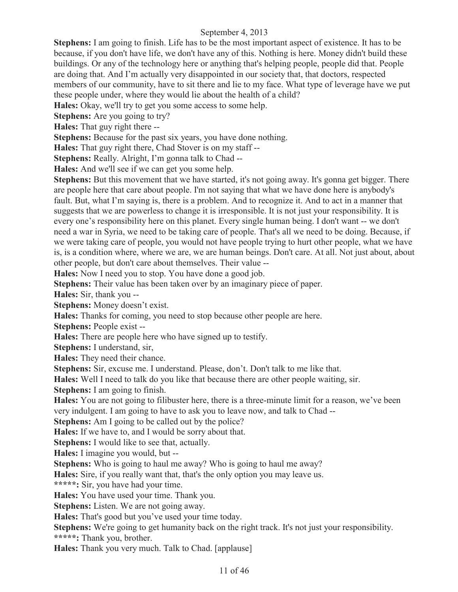**Stephens:** I am going to finish. Life has to be the most important aspect of existence. It has to be because, if you don't have life, we don't have any of this. Nothing is here. Money didn't build these buildings. Or any of the technology here or anything that's helping people, people did that. People are doing that. And I'm actually very disappointed in our society that, that doctors, respected members of our community, have to sit there and lie to my face. What type of leverage have we put these people under, where they would lie about the health of a child?

**Hales:** Okay, we'll try to get you some access to some help.

**Stephens:** Are you going to try?

**Hales:** That guy right there --

**Stephens:** Because for the past six years, you have done nothing.

**Hales:** That guy right there, Chad Stover is on my staff --

**Stephens:** Really. Alright, I'm gonna talk to Chad --

**Hales:** And we'll see if we can get you some help.

**Stephens:** But this movement that we have started, it's not going away. It's gonna get bigger. There are people here that care about people. I'm not saying that what we have done here is anybody's fault. But, what I'm saying is, there is a problem. And to recognize it. And to act in a manner that suggests that we are powerless to change it is irresponsible. It is not just your responsibility. It is every one's responsibility here on this planet. Every single human being. I don't want -- we don't need a war in Syria, we need to be taking care of people. That's all we need to be doing. Because, if we were taking care of people, you would not have people trying to hurt other people, what we have is, is a condition where, where we are, we are human beings. Don't care. At all. Not just about, about other people, but don't care about themselves. Their value --

**Hales:** Now I need you to stop. You have done a good job.

**Stephens:** Their value has been taken over by an imaginary piece of paper.

**Hales:** Sir, thank you --

**Stephens:** Money doesn't exist.

**Hales:** Thanks for coming, you need to stop because other people are here.

**Stephens:** People exist --

**Hales:** There are people here who have signed up to testify.

**Stephens:** I understand, sir,

**Hales:** They need their chance.

**Stephens:** Sir, excuse me. I understand. Please, don't. Don't talk to me like that.

**Hales:** Well I need to talk do you like that because there are other people waiting, sir.

**Stephens:** I am going to finish.

**Hales:** You are not going to filibuster here, there is a three-minute limit for a reason, we've been very indulgent. I am going to have to ask you to leave now, and talk to Chad --

**Stephens:** Am I going to be called out by the police?

**Hales:** If we have to, and I would be sorry about that.

**Stephens:** I would like to see that, actually.

**Hales:** I imagine you would, but --

**Stephens:** Who is going to haul me away? Who is going to haul me away?

**Hales:** Sire, if you really want that, that's the only option you may leave us.

**\*\*\*\*\*:** Sir, you have had your time.

**Hales:** You have used your time. Thank you.

**Stephens:** Listen. We are not going away.

**Hales:** That's good but you've used your time today.

Stephens: We're going to get humanity back on the right track. It's not just your responsibility. **\*\*\*\*\*:** Thank you, brother.

**Hales:** Thank you very much. Talk to Chad. [applause]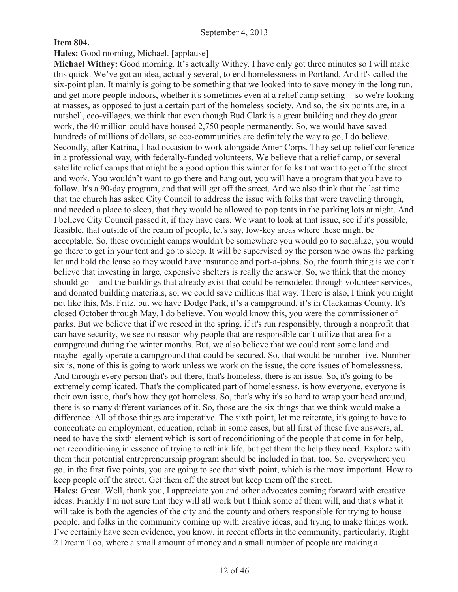#### **Item 804.**

#### **Hales:** Good morning, Michael. [applause]

**Michael Withey:** Good morning. It's actually Withey. I have only got three minutes so I will make this quick. We've got an idea, actually several, to end homelessness in Portland. And it's called the six-point plan. It mainly is going to be something that we looked into to save money in the long run, and get more people indoors, whether it's sometimes even at a relief camp setting -- so we're looking at masses, as opposed to just a certain part of the homeless society. And so, the six points are, in a nutshell, eco-villages, we think that even though Bud Clark is a great building and they do great work, the 40 million could have housed 2,750 people permanently. So, we would have saved hundreds of millions of dollars, so eco-communities are definitely the way to go, I do believe. Secondly, after Katrina, I had occasion to work alongside AmeriCorps. They set up relief conference in a professional way, with federally-funded volunteers. We believe that a relief camp, or several satellite relief camps that might be a good option this winter for folks that want to get off the street and work. You wouldn't want to go there and hang out, you will have a program that you have to follow. It's a 90-day program, and that will get off the street. And we also think that the last time that the church has asked City Council to address the issue with folks that were traveling through, and needed a place to sleep, that they would be allowed to pop tents in the parking lots at night. And I believe City Council passed it, if they have cars. We want to look at that issue, see if it's possible, feasible, that outside of the realm of people, let's say, low-key areas where these might be acceptable. So, these overnight camps wouldn't be somewhere you would go to socialize, you would go there to get in your tent and go to sleep. It will be supervised by the person who owns the parking lot and hold the lease so they would have insurance and port-a-johns. So, the fourth thing is we don't believe that investing in large, expensive shelters is really the answer. So, we think that the money should go -- and the buildings that already exist that could be remodeled through volunteer services, and donated building materials, so, we could save millions that way. There is also, I think you might not like this, Ms. Fritz, but we have Dodge Park, it's a campground, it's in Clackamas County. It's closed October through May, I do believe. You would know this, you were the commissioner of parks. But we believe that if we reseed in the spring, if it's run responsibly, through a nonprofit that can have security, we see no reason why people that are responsible can't utilize that area for a campground during the winter months. But, we also believe that we could rent some land and maybe legally operate a campground that could be secured. So, that would be number five. Number six is, none of this is going to work unless we work on the issue, the core issues of homelessness. And through every person that's out there, that's homeless, there is an issue. So, it's going to be extremely complicated. That's the complicated part of homelessness, is how everyone, everyone is their own issue, that's how they got homeless. So, that's why it's so hard to wrap your head around, there is so many different variances of it. So, those are the six things that we think would make a difference. All of those things are imperative. The sixth point, let me reiterate, it's going to have to concentrate on employment, education, rehab in some cases, but all first of these five answers, all need to have the sixth element which is sort of reconditioning of the people that come in for help, not reconditioning in essence of trying to rethink life, but get them the help they need. Explore with them their potential entrepreneurship program should be included in that, too. So, everywhere you go, in the first five points, you are going to see that sixth point, which is the most important. How to keep people off the street. Get them off the street but keep them off the street.

**Hales:** Great. Well, thank you, I appreciate you and other advocates coming forward with creative ideas. Frankly I'm not sure that they will all work but I think some of them will, and that's what it will take is both the agencies of the city and the county and others responsible for trying to house people, and folks in the community coming up with creative ideas, and trying to make things work. I've certainly have seen evidence, you know, in recent efforts in the community, particularly, Right 2 Dream Too, where a small amount of money and a small number of people are making a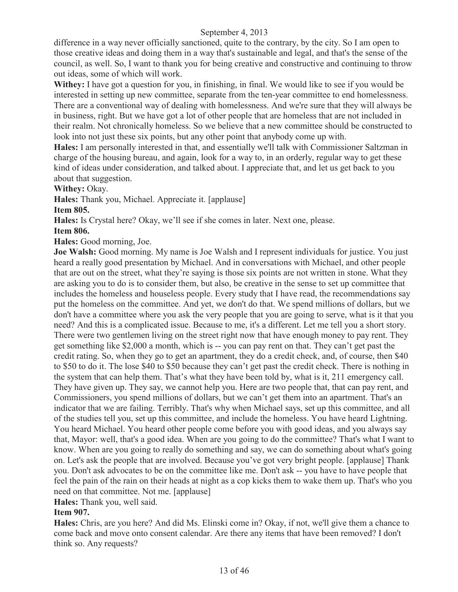difference in a way never officially sanctioned, quite to the contrary, by the city. So I am open to those creative ideas and doing them in a way that's sustainable and legal, and that's the sense of the council, as well. So, I want to thank you for being creative and constructive and continuing to throw out ideas, some of which will work.

**Withey:** I have got a question for you, in finishing, in final. We would like to see if you would be interested in setting up new committee, separate from the ten-year committee to end homelessness. There are a conventional way of dealing with homelessness. And we're sure that they will always be in business, right. But we have got a lot of other people that are homeless that are not included in their realm. Not chronically homeless. So we believe that a new committee should be constructed to look into not just these six points, but any other point that anybody come up with.

**Hales:** I am personally interested in that, and essentially we'll talk with Commissioner Saltzman in charge of the housing bureau, and again, look for a way to, in an orderly, regular way to get these kind of ideas under consideration, and talked about. I appreciate that, and let us get back to you about that suggestion.

**Withey:** Okay.

**Hales:** Thank you, Michael. Appreciate it. [applause]

**Item 805.** 

**Hales:** Is Crystal here? Okay, we'll see if she comes in later. Next one, please.

#### **Item 806.**

**Hales:** Good morning, Joe.

**Joe Walsh:** Good morning. My name is Joe Walsh and I represent individuals for justice. You just heard a really good presentation by Michael. And in conversations with Michael, and other people that are out on the street, what they're saying is those six points are not written in stone. What they are asking you to do is to consider them, but also, be creative in the sense to set up committee that includes the homeless and houseless people. Every study that I have read, the recommendations say put the homeless on the committee. And yet, we don't do that. We spend millions of dollars, but we don't have a committee where you ask the very people that you are going to serve, what is it that you need? And this is a complicated issue. Because to me, it's a different. Let me tell you a short story. There were two gentlemen living on the street right now that have enough money to pay rent. They get something like \$2,000 a month, which is -- you can pay rent on that. They can't get past the credit rating. So, when they go to get an apartment, they do a credit check, and, of course, then \$40 to \$50 to do it. The lose \$40 to \$50 because they can't get past the credit check. There is nothing in the system that can help them. That's what they have been told by, what is it, 211 emergency call. They have given up. They say, we cannot help you. Here are two people that, that can pay rent, and Commissioners, you spend millions of dollars, but we can't get them into an apartment. That's an indicator that we are failing. Terribly. That's why when Michael says, set up this committee, and all of the studies tell you, set up this committee, and include the homeless. You have heard Lightning. You heard Michael. You heard other people come before you with good ideas, and you always say that, Mayor: well, that's a good idea. When are you going to do the committee? That's what I want to know. When are you going to really do something and say, we can do something about what's going on. Let's ask the people that are involved. Because you've got very bright people. [applause] Thank you. Don't ask advocates to be on the committee like me. Don't ask -- you have to have people that feel the pain of the rain on their heads at night as a cop kicks them to wake them up. That's who you need on that committee. Not me. [applause]

**Hales:** Thank you, well said.

#### **Item 907.**

**Hales:** Chris, are you here? And did Ms. Elinski come in? Okay, if not, we'll give them a chance to come back and move onto consent calendar. Are there any items that have been removed? I don't think so. Any requests?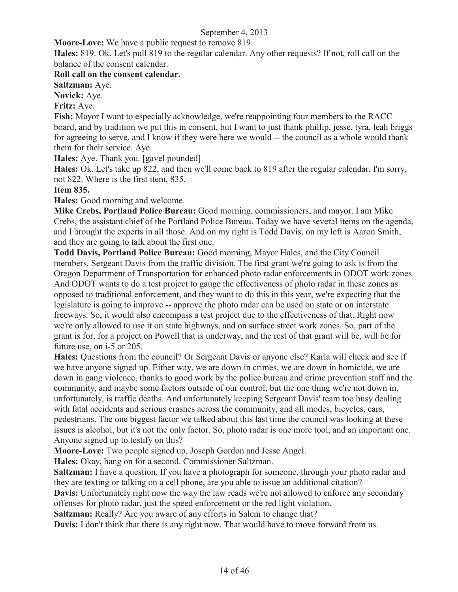**Moore-Love:** We have a public request to remove 819.

**Hales:** 819. Ok. Let's pull 819 to the regular calendar. Any other requests? If not, roll call on the balance of the consent calendar.

#### **Roll call on the consent calendar.**

**Saltzman:** Aye.

**Novick:** Aye.

#### **Fritz:** Aye.

**Fish:** Mayor I want to especially acknowledge, we're reappointing four members to the RACC board, and by tradition we put this in consent, but I want to just thank phillip, jesse, tyra, leah briggs for agreeing to serve, and I know if they were here we would -- the council as a whole would thank them for their service. Aye.

**Hales:** Aye. Thank you. [gavel pounded]

**Hales:** Ok. Let's take up 822, and then we'll come back to 819 after the regular calendar. I'm sorry, not 822. Where is the first item, 835.

#### **Item 835.**

**Hales:** Good morning and welcome.

**Mike Crebs, Portland Police Bureau:** Good morning, commissioners, and mayor. I am Mike Crebs, the assistant chief of the Portland Police Bureau. Today we have several items on the agenda, and I brought the experts in all those. And on my right is Todd Davis, on my left is Aaron Smith, and they are going to talk about the first one.

**Todd Davis, Portland Police Bureau:** Good morning, Mayor Hales, and the City Council members. Sergeant Davis from the traffic division. The first grant we're going to ask is from the Oregon Department of Transportation for enhanced photo radar enforcements in ODOT work zones. And ODOT wants to do a test project to gauge the effectiveness of photo radar in these zones as opposed to traditional enforcement, and they want to do this in this year, we're expecting that the legislature is going to improve -- approve the photo radar can be used on state or on interstate freeways. So, it would also encompass a test project due to the effectiveness of that. Right now we're only allowed to use it on state highways, and on surface street work zones. So, part of the grant is for, for a project on Powell that is underway, and the rest of that grant will be, will be for future use, on i-5 or 205.

**Hales:** Questions from the council? Or Sergeant Davis or anyone else? Karla will check and see if we have anyone signed up. Either way, we are down in crimes, we are down in homicide, we are down in gang violence, thanks to good work by the police bureau and crime prevention staff and the community, and maybe some factors outside of our control, but the one thing we're not down in, unfortunately, is traffic deaths. And unfortunately keeping Sergeant Davis' team too busy dealing with fatal accidents and serious crashes across the community, and all modes, bicycles, cars, pedestrians. The one biggest factor we talked about this last time the council was looking at these issues is alcohol, but it's not the only factor. So, photo radar is one more tool, and an important one. Anyone signed up to testify on this?

**Moore-Love:** Two people signed up, Joseph Gordon and Jesse Angel.

**Hales:** Okay, hang on for a second. Commissioner Saltzman.

**Saltzman:** I have a question. If you have a photograph for someone, through your photo radar and they are texting or talking on a cell phone, are you able to issue an additional citation?

**Davis:** Unfortunately right now the way the law reads we're not allowed to enforce any secondary offenses for photo radar, just the speed enforcement or the red light violation.

**Saltzman:** Really? Are you aware of any efforts in Salem to change that?

**Davis:** I don't think that there is any right now. That would have to move forward from us.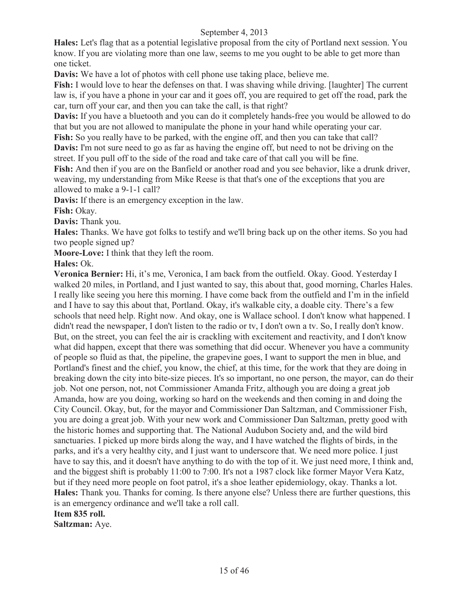**Hales:** Let's flag that as a potential legislative proposal from the city of Portland next session. You know. If you are violating more than one law, seems to me you ought to be able to get more than one ticket.

**Davis:** We have a lot of photos with cell phone use taking place, believe me.

**Fish:** I would love to hear the defenses on that. I was shaving while driving. [laughter] The current law is, if you have a phone in your car and it goes off, you are required to get off the road, park the car, turn off your car, and then you can take the call, is that right?

**Davis:** If you have a bluetooth and you can do it completely hands-free you would be allowed to do that but you are not allowed to manipulate the phone in your hand while operating your car.

**Fish:** So you really have to be parked, with the engine off, and then you can take that call?

**Davis:** I'm not sure need to go as far as having the engine off, but need to not be driving on the street. If you pull off to the side of the road and take care of that call you will be fine.

**Fish:** And then if you are on the Banfield or another road and you see behavior, like a drunk driver, weaving, my understanding from Mike Reese is that that's one of the exceptions that you are allowed to make a 9-1-1 call?

**Davis:** If there is an emergency exception in the law.

**Fish:** Okay.

**Davis:** Thank you.

**Hales:** Thanks. We have got folks to testify and we'll bring back up on the other items. So you had two people signed up?

**Moore-Love:** I think that they left the room.

**Hales:** Ok.

**Veronica Bernier:** Hi, it's me, Veronica, I am back from the outfield. Okay. Good. Yesterday I walked 20 miles, in Portland, and I just wanted to say, this about that, good morning, Charles Hales. I really like seeing you here this morning. I have come back from the outfield and I'm in the infield and I have to say this about that, Portland. Okay, it's walkable city, a doable city. There's a few schools that need help. Right now. And okay, one is Wallace school. I don't know what happened. I didn't read the newspaper, I don't listen to the radio or tv, I don't own a tv. So, I really don't know. But, on the street, you can feel the air is crackling with excitement and reactivity, and I don't know what did happen, except that there was something that did occur. Whenever you have a community of people so fluid as that, the pipeline, the grapevine goes, I want to support the men in blue, and Portland's finest and the chief, you know, the chief, at this time, for the work that they are doing in breaking down the city into bite-size pieces. It's so important, no one person, the mayor, can do their job. Not one person, not, not Commissioner Amanda Fritz, although you are doing a great job Amanda, how are you doing, working so hard on the weekends and then coming in and doing the City Council. Okay, but, for the mayor and Commissioner Dan Saltzman, and Commissioner Fish, you are doing a great job. With your new work and Commissioner Dan Saltzman, pretty good with the historic homes and supporting that. The National Audubon Society and, and the wild bird sanctuaries. I picked up more birds along the way, and I have watched the flights of birds, in the parks, and it's a very healthy city, and I just want to underscore that. We need more police. I just have to say this, and it doesn't have anything to do with the top of it. We just need more, I think and, and the biggest shift is probably 11:00 to 7:00. It's not a 1987 clock like former Mayor Vera Katz, but if they need more people on foot patrol, it's a shoe leather epidemiology, okay. Thanks a lot. **Hales:** Thank you. Thanks for coming. Is there anyone else? Unless there are further questions, this is an emergency ordinance and we'll take a roll call.

**Item 835 roll. Saltzman:** Aye.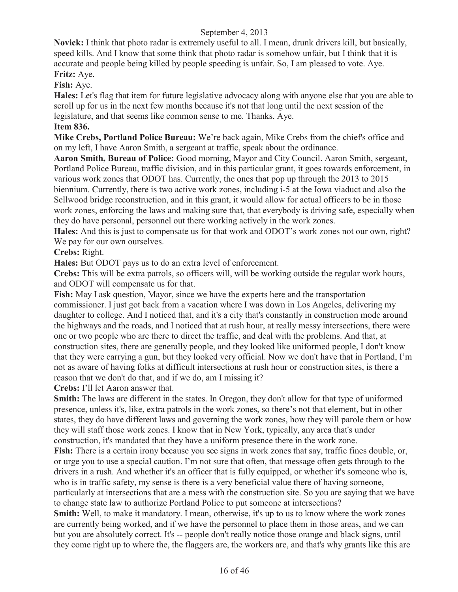**Novick:** I think that photo radar is extremely useful to all. I mean, drunk drivers kill, but basically, speed kills. And I know that some think that photo radar is somehow unfair, but I think that it is accurate and people being killed by people speeding is unfair. So, I am pleased to vote. Aye. **Fritz:** Aye.

#### **Fish:** Aye.

**Hales:** Let's flag that item for future legislative advocacy along with anyone else that you are able to scroll up for us in the next few months because it's not that long until the next session of the legislature, and that seems like common sense to me. Thanks. Aye.

#### **Item 836.**

**Mike Crebs, Portland Police Bureau:** We're back again, Mike Crebs from the chief's office and on my left, I have Aaron Smith, a sergeant at traffic, speak about the ordinance.

**Aaron Smith, Bureau of Police:** Good morning, Mayor and City Council. Aaron Smith, sergeant, Portland Police Bureau, traffic division, and in this particular grant, it goes towards enforcement, in various work zones that ODOT has. Currently, the ones that pop up through the 2013 to 2015 biennium. Currently, there is two active work zones, including i-5 at the Iowa viaduct and also the Sellwood bridge reconstruction, and in this grant, it would allow for actual officers to be in those work zones, enforcing the laws and making sure that, that everybody is driving safe, especially when they do have personal, personnel out there working actively in the work zones.

**Hales:** And this is just to compensate us for that work and ODOT's work zones not our own, right? We pay for our own ourselves.

**Crebs:** Right.

**Hales:** But ODOT pays us to do an extra level of enforcement.

**Crebs:** This will be extra patrols, so officers will, will be working outside the regular work hours, and ODOT will compensate us for that.

**Fish:** May I ask question, Mayor, since we have the experts here and the transportation commissioner. I just got back from a vacation where I was down in Los Angeles, delivering my daughter to college. And I noticed that, and it's a city that's constantly in construction mode around the highways and the roads, and I noticed that at rush hour, at really messy intersections, there were one or two people who are there to direct the traffic, and deal with the problems. And that, at construction sites, there are generally people, and they looked like uniformed people, I don't know that they were carrying a gun, but they looked very official. Now we don't have that in Portland, I'm not as aware of having folks at difficult intersections at rush hour or construction sites, is there a reason that we don't do that, and if we do, am I missing it?

**Crebs:** I'll let Aaron answer that.

**Smith:** The laws are different in the states. In Oregon, they don't allow for that type of uniformed presence, unless it's, like, extra patrols in the work zones, so there's not that element, but in other states, they do have different laws and governing the work zones, how they will parole them or how they will staff those work zones. I know that in New York, typically, any area that's under construction, it's mandated that they have a uniform presence there in the work zone.

**Fish:** There is a certain irony because you see signs in work zones that say, traffic fines double, or, or urge you to use a special caution. I'm not sure that often, that message often gets through to the drivers in a rush. And whether it's an officer that is fully equipped, or whether it's someone who is, who is in traffic safety, my sense is there is a very beneficial value there of having someone, particularly at intersections that are a mess with the construction site. So you are saying that we have to change state law to authorize Portland Police to put someone at intersections?

**Smith:** Well, to make it mandatory. I mean, otherwise, it's up to us to know where the work zones are currently being worked, and if we have the personnel to place them in those areas, and we can but you are absolutely correct. It's -- people don't really notice those orange and black signs, until they come right up to where the, the flaggers are, the workers are, and that's why grants like this are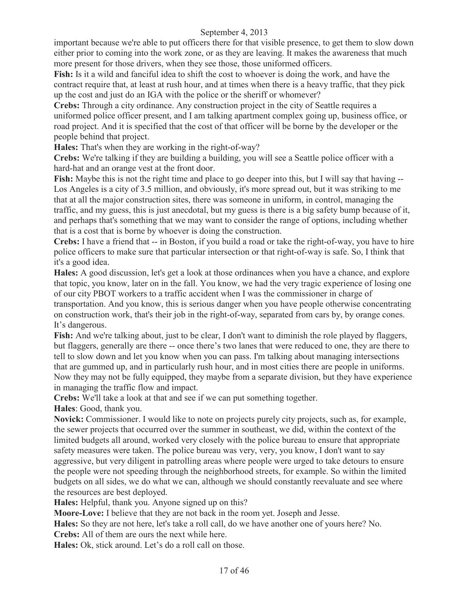important because we're able to put officers there for that visible presence, to get them to slow down either prior to coming into the work zone, or as they are leaving. It makes the awareness that much more present for those drivers, when they see those, those uniformed officers.

**Fish:** Is it a wild and fanciful idea to shift the cost to whoever is doing the work, and have the contract require that, at least at rush hour, and at times when there is a heavy traffic, that they pick up the cost and just do an IGA with the police or the sheriff or whomever?

**Crebs:** Through a city ordinance. Any construction project in the city of Seattle requires a uniformed police officer present, and I am talking apartment complex going up, business office, or road project. And it is specified that the cost of that officer will be borne by the developer or the people behind that project.

**Hales:** That's when they are working in the right-of-way?

**Crebs:** We're talking if they are building a building, you will see a Seattle police officer with a hard-hat and an orange vest at the front door.

**Fish:** Maybe this is not the right time and place to go deeper into this, but I will say that having -- Los Angeles is a city of 3.5 million, and obviously, it's more spread out, but it was striking to me that at all the major construction sites, there was someone in uniform, in control, managing the traffic, and my guess, this is just anecdotal, but my guess is there is a big safety bump because of it, and perhaps that's something that we may want to consider the range of options, including whether that is a cost that is borne by whoever is doing the construction.

**Crebs:** I have a friend that -- in Boston, if you build a road or take the right-of-way, you have to hire police officers to make sure that particular intersection or that right-of-way is safe. So, I think that it's a good idea.

**Hales:** A good discussion, let's get a look at those ordinances when you have a chance, and explore that topic, you know, later on in the fall. You know, we had the very tragic experience of losing one of our city PBOT workers to a traffic accident when I was the commissioner in charge of transportation. And you know, this is serious danger when you have people otherwise concentrating on construction work, that's their job in the right-of-way, separated from cars by, by orange cones. It's dangerous.

Fish: And we're talking about, just to be clear, I don't want to diminish the role played by flaggers, but flaggers, generally are there -- once there's two lanes that were reduced to one, they are there to tell to slow down and let you know when you can pass. I'm talking about managing intersections that are gummed up, and in particularly rush hour, and in most cities there are people in uniforms. Now they may not be fully equipped, they maybe from a separate division, but they have experience in managing the traffic flow and impact.

**Crebs:** We'll take a look at that and see if we can put something together.

**Hales**: Good, thank you.

**Novick:** Commissioner. I would like to note on projects purely city projects, such as, for example, the sewer projects that occurred over the summer in southeast, we did, within the context of the limited budgets all around, worked very closely with the police bureau to ensure that appropriate safety measures were taken. The police bureau was very, very, you know, I don't want to say aggressive, but very diligent in patrolling areas where people were urged to take detours to ensure the people were not speeding through the neighborhood streets, for example. So within the limited budgets on all sides, we do what we can, although we should constantly reevaluate and see where the resources are best deployed.

**Hales:** Helpful, thank you. Anyone signed up on this?

**Moore-Love:** I believe that they are not back in the room yet. Joseph and Jesse.

**Hales:** So they are not here, let's take a roll call, do we have another one of yours here? No.

**Crebs:** All of them are ours the next while here.

**Hales:** Ok, stick around. Let's do a roll call on those.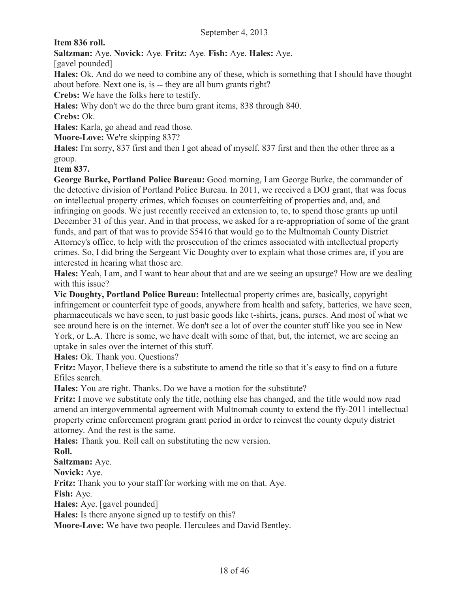**Item 836 roll.**

**Saltzman:** Aye. **Novick:** Aye. **Fritz:** Aye. **Fish:** Aye. **Hales:** Aye.

[gavel pounded]

**Hales:** Ok. And do we need to combine any of these, which is something that I should have thought about before. Next one is, is -- they are all burn grants right?

**Crebs:** We have the folks here to testify.

**Hales:** Why don't we do the three burn grant items, 838 through 840.

**Crebs:** Ok.

**Hales:** Karla, go ahead and read those.

**Moore-Love:** We're skipping 837?

**Hales:** I'm sorry, 837 first and then I got ahead of myself. 837 first and then the other three as a group.

**Item 837.**

**George Burke, Portland Police Bureau:** Good morning, I am George Burke, the commander of the detective division of Portland Police Bureau. In 2011, we received a DOJ grant, that was focus on intellectual property crimes, which focuses on counterfeiting of properties and, and, and infringing on goods. We just recently received an extension to, to, to spend those grants up until December 31 of this year. And in that process, we asked for a re-appropriation of some of the grant funds, and part of that was to provide \$5416 that would go to the Multnomah County District Attorney's office, to help with the prosecution of the crimes associated with intellectual property crimes. So, I did bring the Sergeant Vic Doughty over to explain what those crimes are, if you are interested in hearing what those are.

**Hales:** Yeah, I am, and I want to hear about that and are we seeing an upsurge? How are we dealing with this issue?

**Vic Doughty, Portland Police Bureau:** Intellectual property crimes are, basically, copyright infringement or counterfeit type of goods, anywhere from health and safety, batteries, we have seen, pharmaceuticals we have seen, to just basic goods like t-shirts, jeans, purses. And most of what we see around here is on the internet. We don't see a lot of over the counter stuff like you see in New York, or L.A. There is some, we have dealt with some of that, but, the internet, we are seeing an uptake in sales over the internet of this stuff.

**Hales:** Ok. Thank you. Questions?

**Fritz:** Mayor, I believe there is a substitute to amend the title so that it's easy to find on a future Efiles search.

**Hales:** You are right. Thanks. Do we have a motion for the substitute?

**Fritz:** I move we substitute only the title, nothing else has changed, and the title would now read amend an intergovernmental agreement with Multnomah county to extend the ffy-2011 intellectual property crime enforcement program grant period in order to reinvest the county deputy district attorney. And the rest is the same.

**Hales:** Thank you. Roll call on substituting the new version.

**Roll.**

**Saltzman:** Aye.

**Novick:** Aye.

**Fritz:** Thank you to your staff for working with me on that. Aye.

**Fish:** Aye.

**Hales:** Aye. [gavel pounded]

**Hales:** Is there anyone signed up to testify on this?

**Moore-Love:** We have two people. Herculees and David Bentley.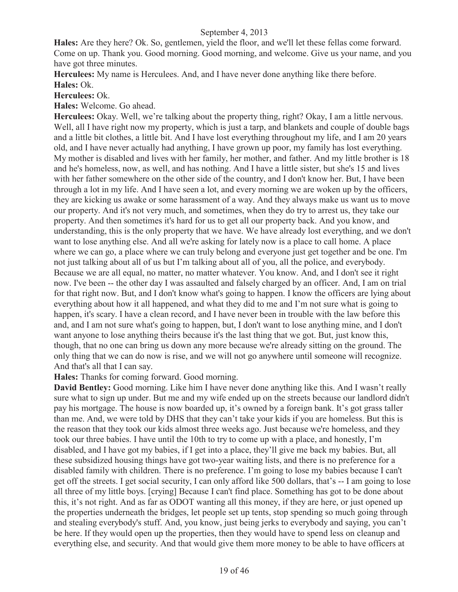**Hales:** Are they here? Ok. So, gentlemen, yield the floor, and we'll let these fellas come forward. Come on up. Thank you. Good morning. Good morning, and welcome. Give us your name, and you have got three minutes.

**Herculees:** My name is Herculees. And, and I have never done anything like there before. **Hales:** Ok.

#### **Herculees:** Ok.

**Hales:** Welcome. Go ahead.

**Herculees:** Okay. Well, we're talking about the property thing, right? Okay, I am a little nervous. Well, all I have right now my property, which is just a tarp, and blankets and couple of double bags and a little bit clothes, a little bit. And I have lost everything throughout my life, and I am 20 years old, and I have never actually had anything, I have grown up poor, my family has lost everything. My mother is disabled and lives with her family, her mother, and father. And my little brother is 18 and he's homeless, now, as well, and has nothing. And I have a little sister, but she's 15 and lives with her father somewhere on the other side of the country, and I don't know her. But, I have been through a lot in my life. And I have seen a lot, and every morning we are woken up by the officers, they are kicking us awake or some harassment of a way. And they always make us want us to move our property. And it's not very much, and sometimes, when they do try to arrest us, they take our property. And then sometimes it's hard for us to get all our property back. And you know, and understanding, this is the only property that we have. We have already lost everything, and we don't want to lose anything else. And all we're asking for lately now is a place to call home. A place where we can go, a place where we can truly belong and everyone just get together and be one. I'm not just talking about all of us but I'm talking about all of you, all the police, and everybody. Because we are all equal, no matter, no matter whatever. You know. And, and I don't see it right now. I've been -- the other day I was assaulted and falsely charged by an officer. And, I am on trial for that right now. But, and I don't know what's going to happen. I know the officers are lying about everything about how it all happened, and what they did to me and I'm not sure what is going to happen, it's scary. I have a clean record, and I have never been in trouble with the law before this and, and I am not sure what's going to happen, but, I don't want to lose anything mine, and I don't want anyone to lose anything theirs because it's the last thing that we got. But, just know this, though, that no one can bring us down any more because we're already sitting on the ground. The only thing that we can do now is rise, and we will not go anywhere until someone will recognize. And that's all that I can say.

**Hales:** Thanks for coming forward. Good morning.

**David Bentley:** Good morning. Like him I have never done anything like this. And I wasn't really sure what to sign up under. But me and my wife ended up on the streets because our landlord didn't pay his mortgage. The house is now boarded up, it's owned by a foreign bank. It's got grass taller than me. And, we were told by DHS that they can't take your kids if you are homeless. But this is the reason that they took our kids almost three weeks ago. Just because we're homeless, and they took our three babies. I have until the 10th to try to come up with a place, and honestly, I'm disabled, and I have got my babies, if I get into a place, they'll give me back my babies. But, all these subsidized housing things have got two-year waiting lists, and there is no preference for a disabled family with children. There is no preference. I'm going to lose my babies because I can't get off the streets. I get social security, I can only afford like 500 dollars, that's -- I am going to lose all three of my little boys. [crying] Because I can't find place. Something has got to be done about this, it's not right. And as far as ODOT wanting all this money, if they are here, or just opened up the properties underneath the bridges, let people set up tents, stop spending so much going through and stealing everybody's stuff. And, you know, just being jerks to everybody and saying, you can't be here. If they would open up the properties, then they would have to spend less on cleanup and everything else, and security. And that would give them more money to be able to have officers at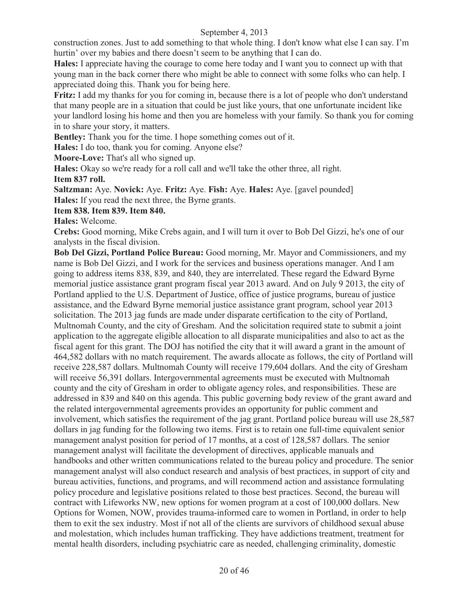construction zones. Just to add something to that whole thing. I don't know what else I can say. I'm hurtin' over my babies and there doesn't seem to be anything that I can do.

**Hales:** I appreciate having the courage to come here today and I want you to connect up with that young man in the back corner there who might be able to connect with some folks who can help. I appreciated doing this. Thank you for being here.

**Fritz:** I add my thanks for you for coming in, because there is a lot of people who don't understand that many people are in a situation that could be just like yours, that one unfortunate incident like your landlord losing his home and then you are homeless with your family. So thank you for coming in to share your story, it matters.

**Bentley:** Thank you for the time. I hope something comes out of it.

**Hales:** I do too, thank you for coming. Anyone else?

**Moore-Love:** That's all who signed up.

**Hales:** Okay so we're ready for a roll call and we'll take the other three, all right.

**Item 837 roll.**

**Saltzman:** Aye. **Novick:** Aye. **Fritz:** Aye. **Fish:** Aye. **Hales:** Aye. [gavel pounded] **Hales:** If you read the next three, the Byrne grants.

#### **Item 838. Item 839. Item 840.**

**Hales:** Welcome.

**Crebs:** Good morning, Mike Crebs again, and I will turn it over to Bob Del Gizzi, he's one of our analysts in the fiscal division.

**Bob Del Gizzi, Portland Police Bureau:** Good morning, Mr. Mayor and Commissioners, and my name is Bob Del Gizzi, and I work for the services and business operations manager. And I am going to address items 838, 839, and 840, they are interrelated. These regard the Edward Byrne memorial justice assistance grant program fiscal year 2013 award. And on July 9 2013, the city of Portland applied to the U.S. Department of Justice, office of justice programs, bureau of justice assistance, and the Edward Byrne memorial justice assistance grant program, school year 2013 solicitation. The 2013 jag funds are made under disparate certification to the city of Portland, Multnomah County, and the city of Gresham. And the solicitation required state to submit a joint application to the aggregate eligible allocation to all disparate municipalities and also to act as the fiscal agent for this grant. The DOJ has notified the city that it will award a grant in the amount of 464,582 dollars with no match requirement. The awards allocate as follows, the city of Portland will receive 228,587 dollars. Multnomah County will receive 179,604 dollars. And the city of Gresham will receive 56,391 dollars. Intergovernmental agreements must be executed with Multnomah county and the city of Gresham in order to obligate agency roles, and responsibilities. These are addressed in 839 and 840 on this agenda. This public governing body review of the grant award and the related intergovernmental agreements provides an opportunity for public comment and involvement, which satisfies the requirement of the jag grant. Portland police bureau will use 28,587 dollars in jag funding for the following two items. First is to retain one full-time equivalent senior management analyst position for period of 17 months, at a cost of 128,587 dollars. The senior management analyst will facilitate the development of directives, applicable manuals and handbooks and other written communications related to the bureau policy and procedure. The senior management analyst will also conduct research and analysis of best practices, in support of city and bureau activities, functions, and programs, and will recommend action and assistance formulating policy procedure and legislative positions related to those best practices. Second, the bureau will contract with Lifeworks NW, new options for women program at a cost of 100,000 dollars. New Options for Women, NOW, provides trauma-informed care to women in Portland, in order to help them to exit the sex industry. Most if not all of the clients are survivors of childhood sexual abuse and molestation, which includes human trafficking. They have addictions treatment, treatment for mental health disorders, including psychiatric care as needed, challenging criminality, domestic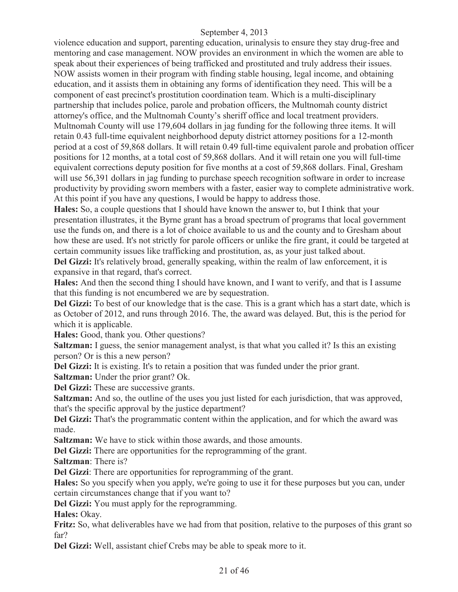violence education and support, parenting education, urinalysis to ensure they stay drug-free and mentoring and case management. NOW provides an environment in which the women are able to speak about their experiences of being trafficked and prostituted and truly address their issues. NOW assists women in their program with finding stable housing, legal income, and obtaining education, and it assists them in obtaining any forms of identification they need. This will be a component of east precinct's prostitution coordination team. Which is a multi-disciplinary partnership that includes police, parole and probation officers, the Multnomah county district attorney's office, and the Multnomah County's sheriff office and local treatment providers. Multnomah County will use 179,604 dollars in jag funding for the following three items. It will retain 0.43 full-time equivalent neighborhood deputy district attorney positions for a 12-month period at a cost of 59,868 dollars. It will retain 0.49 full-time equivalent parole and probation officer positions for 12 months, at a total cost of 59,868 dollars. And it will retain one you will full-time equivalent corrections deputy position for five months at a cost of 59,868 dollars. Final, Gresham will use 56,391 dollars in jag funding to purchase speech recognition software in order to increase productivity by providing sworn members with a faster, easier way to complete administrative work. At this point if you have any questions, I would be happy to address those.

**Hales:** So, a couple questions that I should have known the answer to, but I think that your presentation illustrates, it the Byrne grant has a broad spectrum of programs that local government use the funds on, and there is a lot of choice available to us and the county and to Gresham about how these are used. It's not strictly for parole officers or unlike the fire grant, it could be targeted at certain community issues like trafficking and prostitution, as, as your just talked about.

Del Gizzi: It's relatively broad, generally speaking, within the realm of law enforcement, it is expansive in that regard, that's correct.

**Hales:** And then the second thing I should have known, and I want to verify, and that is I assume that this funding is not encumbered we are by sequestration.

**Del Gizzi:** To best of our knowledge that is the case. This is a grant which has a start date, which is as October of 2012, and runs through 2016. The, the award was delayed. But, this is the period for which it is applicable.

**Hales:** Good, thank you. Other questions?

**Saltzman:** I guess, the senior management analyst, is that what you called it? Is this an existing person? Or is this a new person?

**Del Gizzi:** It is existing. It's to retain a position that was funded under the prior grant.

**Saltzman:** Under the prior grant? Ok.

**Del Gizzi:** These are successive grants.

**Saltzman:** And so, the outline of the uses you just listed for each jurisdiction, that was approved, that's the specific approval by the justice department?

Del Gizzi: That's the programmatic content within the application, and for which the award was made.

**Saltzman:** We have to stick within those awards, and those amounts.

**Del Gizzi:** There are opportunities for the reprogramming of the grant.

**Saltzman**: There is?

**Del Gizzi**: There are opportunities for reprogramming of the grant.

**Hales:** So you specify when you apply, we're going to use it for these purposes but you can, under certain circumstances change that if you want to?

**Del Gizzi:** You must apply for the reprogramming.

**Hales:** Okay.

**Fritz:** So, what deliverables have we had from that position, relative to the purposes of this grant so far?

**Del Gizzi:** Well, assistant chief Crebs may be able to speak more to it.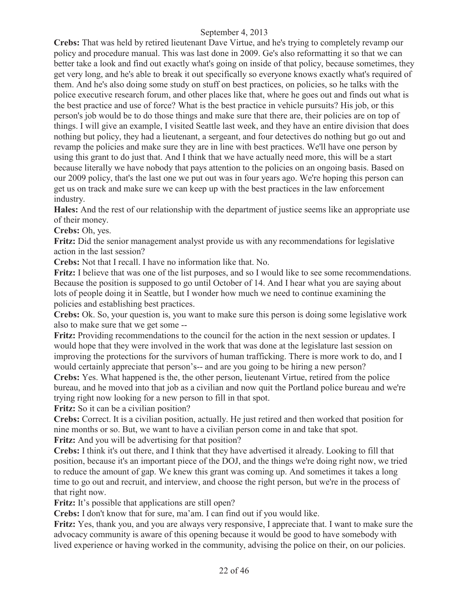**Crebs:** That was held by retired lieutenant Dave Virtue, and he's trying to completely revamp our policy and procedure manual. This was last done in 2009. Ge's also reformatting it so that we can better take a look and find out exactly what's going on inside of that policy, because sometimes, they get very long, and he's able to break it out specifically so everyone knows exactly what's required of them. And he's also doing some study on stuff on best practices, on policies, so he talks with the police executive research forum, and other places like that, where he goes out and finds out what is the best practice and use of force? What is the best practice in vehicle pursuits? His job, or this person's job would be to do those things and make sure that there are, their policies are on top of things. I will give an example, I visited Seattle last week, and they have an entire division that does nothing but policy, they had a lieutenant, a sergeant, and four detectives do nothing but go out and revamp the policies and make sure they are in line with best practices. We'll have one person by using this grant to do just that. And I think that we have actually need more, this will be a start because literally we have nobody that pays attention to the policies on an ongoing basis. Based on our 2009 policy, that's the last one we put out was in four years ago. We're hoping this person can get us on track and make sure we can keep up with the best practices in the law enforcement industry.

**Hales:** And the rest of our relationship with the department of justice seems like an appropriate use of their money.

**Crebs:** Oh, yes.

**Fritz:** Did the senior management analyst provide us with any recommendations for legislative action in the last session?

**Crebs:** Not that I recall. I have no information like that. No.

**Fritz:** I believe that was one of the list purposes, and so I would like to see some recommendations. Because the position is supposed to go until October of 14. And I hear what you are saying about lots of people doing it in Seattle, but I wonder how much we need to continue examining the policies and establishing best practices.

**Crebs:** Ok. So, your question is, you want to make sure this person is doing some legislative work also to make sure that we get some --

**Fritz:** Providing recommendations to the council for the action in the next session or updates. I would hope that they were involved in the work that was done at the legislature last session on improving the protections for the survivors of human trafficking. There is more work to do, and I would certainly appreciate that person's-- and are you going to be hiring a new person?

**Crebs:** Yes. What happened is the, the other person, lieutenant Virtue, retired from the police bureau, and he moved into that job as a civilian and now quit the Portland police bureau and we're trying right now looking for a new person to fill in that spot.

Fritz: So it can be a civilian position?

**Crebs:** Correct. It is a civilian position, actually. He just retired and then worked that position for nine months or so. But, we want to have a civilian person come in and take that spot. **Fritz:** And you will be advertising for that position?

**Crebs:** I think it's out there, and I think that they have advertised it already. Looking to fill that position, because it's an important piece of the DOJ, and the things we're doing right now, we tried to reduce the amount of gap. We knew this grant was coming up. And sometimes it takes a long time to go out and recruit, and interview, and choose the right person, but we're in the process of that right now.

**Fritz:** It's possible that applications are still open?

**Crebs:** I don't know that for sure, ma'am. I can find out if you would like.

**Fritz:** Yes, thank you, and you are always very responsive, I appreciate that. I want to make sure the advocacy community is aware of this opening because it would be good to have somebody with lived experience or having worked in the community, advising the police on their, on our policies.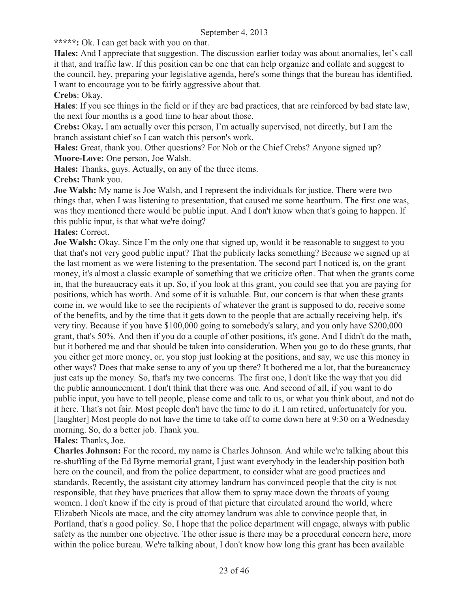**\*\*\*\*\*:** Ok. I can get back with you on that.

**Hales:** And I appreciate that suggestion. The discussion earlier today was about anomalies, let's call it that, and traffic law. If this position can be one that can help organize and collate and suggest to the council, hey, preparing your legislative agenda, here's some things that the bureau has identified, I want to encourage you to be fairly aggressive about that.

#### **Crebs**: Okay.

**Hales**: If you see things in the field or if they are bad practices, that are reinforced by bad state law, the next four months is a good time to hear about those.

**Crebs:** Okay**.** I am actually over this person, I'm actually supervised, not directly, but I am the branch assistant chief so I can watch this person's work.

**Hales:** Great, thank you. Other questions? For Nob or the Chief Crebs? Anyone signed up? **Moore-Love:** One person, Joe Walsh.

**Hales:** Thanks, guys. Actually, on any of the three items.

**Crebs:** Thank you.

**Joe Walsh:** My name is Joe Walsh, and I represent the individuals for justice. There were two things that, when I was listening to presentation, that caused me some heartburn. The first one was, was they mentioned there would be public input. And I don't know when that's going to happen. If this public input, is that what we're doing?

#### **Hales:** Correct.

**Joe Walsh:** Okay. Since I'm the only one that signed up, would it be reasonable to suggest to you that that's not very good public input? That the publicity lacks something? Because we signed up at the last moment as we were listening to the presentation. The second part I noticed is, on the grant money, it's almost a classic example of something that we criticize often. That when the grants come in, that the bureaucracy eats it up. So, if you look at this grant, you could see that you are paying for positions, which has worth. And some of it is valuable. But, our concern is that when these grants come in, we would like to see the recipients of whatever the grant is supposed to do, receive some of the benefits, and by the time that it gets down to the people that are actually receiving help, it's very tiny. Because if you have \$100,000 going to somebody's salary, and you only have \$200,000 grant, that's 50%. And then if you do a couple of other positions, it's gone. And I didn't do the math, but it bothered me and that should be taken into consideration. When you go to do these grants, that you either get more money, or, you stop just looking at the positions, and say, we use this money in other ways? Does that make sense to any of you up there? It bothered me a lot, that the bureaucracy just eats up the money. So, that's my two concerns. The first one, I don't like the way that you did the public announcement. I don't think that there was one. And second of all, if you want to do public input, you have to tell people, please come and talk to us, or what you think about, and not do it here. That's not fair. Most people don't have the time to do it. I am retired, unfortunately for you. [laughter] Most people do not have the time to take off to come down here at 9:30 on a Wednesday morning. So, do a better job. Thank you.

#### **Hales:** Thanks, Joe.

**Charles Johnson:** For the record, my name is Charles Johnson. And while we're talking about this re-shuffling of the Ed Byrne memorial grant, I just want everybody in the leadership position both here on the council, and from the police department, to consider what are good practices and standards. Recently, the assistant city attorney landrum has convinced people that the city is not responsible, that they have practices that allow them to spray mace down the throats of young women. I don't know if the city is proud of that picture that circulated around the world, where Elizabeth Nicols ate mace, and the city attorney landrum was able to convince people that, in Portland, that's a good policy. So, I hope that the police department will engage, always with public safety as the number one objective. The other issue is there may be a procedural concern here, more within the police bureau. We're talking about, I don't know how long this grant has been available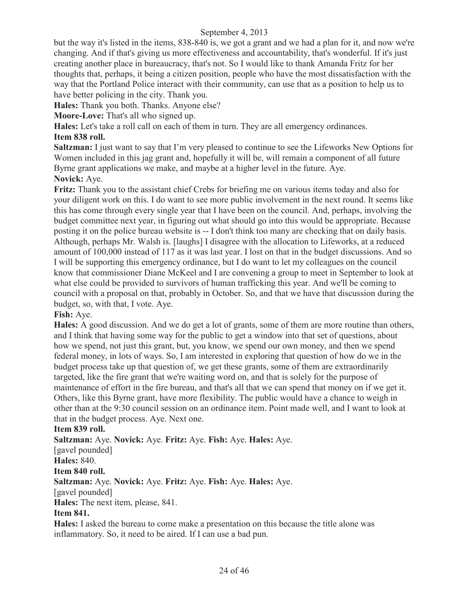but the way it's listed in the items, 838-840 is, we got a grant and we had a plan for it, and now we're changing. And if that's giving us more effectiveness and accountability, that's wonderful. If it's just creating another place in bureaucracy, that's not. So I would like to thank Amanda Fritz for her thoughts that, perhaps, it being a citizen position, people who have the most dissatisfaction with the way that the Portland Police interact with their community, can use that as a position to help us to have better policing in the city. Thank you.

**Hales:** Thank you both. Thanks. Anyone else?

**Moore-Love:** That's all who signed up.

**Hales:** Let's take a roll call on each of them in turn. They are all emergency ordinances.

#### **Item 838 roll.**

**Saltzman:** I just want to say that I'm very pleased to continue to see the Lifeworks New Options for Women included in this jag grant and, hopefully it will be, will remain a component of all future Byrne grant applications we make, and maybe at a higher level in the future. Aye.

**Novick:** Aye.

**Fritz:** Thank you to the assistant chief Crebs for briefing me on various items today and also for your diligent work on this. I do want to see more public involvement in the next round. It seems like this has come through every single year that I have been on the council. And, perhaps, involving the budget committee next year, in figuring out what should go into this would be appropriate. Because posting it on the police bureau website is -- I don't think too many are checking that on daily basis. Although, perhaps Mr. Walsh is. [laughs] I disagree with the allocation to Lifeworks, at a reduced amount of 100,000 instead of 117 as it was last year. I lost on that in the budget discussions. And so I will be supporting this emergency ordinance, but I do want to let my colleagues on the council know that commissioner Diane McKeel and I are convening a group to meet in September to look at what else could be provided to survivors of human trafficking this year. And we'll be coming to council with a proposal on that, probably in October. So, and that we have that discussion during the budget, so, with that, I vote. Aye.

#### **Fish:** Aye.

**Hales:** A good discussion. And we do get a lot of grants, some of them are more routine than others, and I think that having some way for the public to get a window into that set of questions, about how we spend, not just this grant, but, you know, we spend our own money, and then we spend federal money, in lots of ways. So, I am interested in exploring that question of how do we in the budget process take up that question of, we get these grants, some of them are extraordinarily targeted, like the fire grant that we're waiting word on, and that is solely for the purpose of maintenance of effort in the fire bureau, and that's all that we can spend that money on if we get it. Others, like this Byrne grant, have more flexibility. The public would have a chance to weigh in other than at the 9:30 council session on an ordinance item. Point made well, and I want to look at that in the budget process. Aye. Next one.

#### **Item 839 roll.**

**Saltzman:** Aye. **Novick:** Aye. **Fritz:** Aye. **Fish:** Aye. **Hales:** Aye.

[gavel pounded]

**Hales:** 840.

#### **Item 840 roll.**

**Saltzman:** Aye. **Novick:** Aye. **Fritz:** Aye. **Fish:** Aye. **Hales:** Aye.

#### [gavel pounded]

**Hales:** The next item, please, 841.

#### **Item 841.**

**Hales:** I asked the bureau to come make a presentation on this because the title alone was inflammatory. So, it need to be aired. If I can use a bad pun.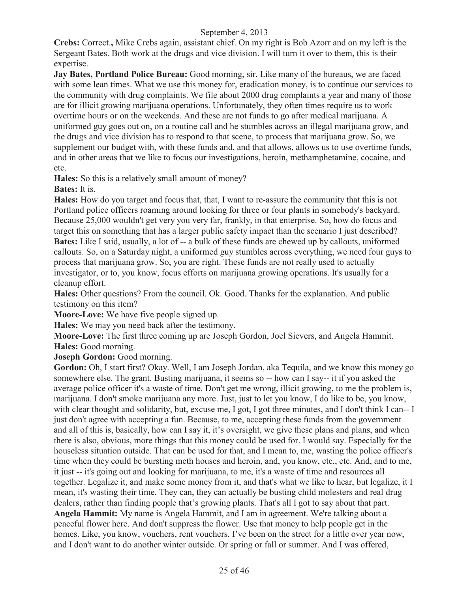**Crebs:** Correct.**,** Mike Crebs again, assistant chief. On my right is Bob Azorr and on my left is the Sergeant Bates. Both work at the drugs and vice division. I will turn it over to them, this is their expertise.

**Jay Bates, Portland Police Bureau:** Good morning, sir. Like many of the bureaus, we are faced with some lean times. What we use this money for, eradication money, is to continue our services to the community with drug complaints. We file about 2000 drug complaints a year and many of those are for illicit growing marijuana operations. Unfortunately, they often times require us to work overtime hours or on the weekends. And these are not funds to go after medical marijuana. A uniformed guy goes out on, on a routine call and he stumbles across an illegal marijuana grow, and the drugs and vice division has to respond to that scene, to process that marijuana grow. So, we supplement our budget with, with these funds and, and that allows, allows us to use overtime funds, and in other areas that we like to focus our investigations, heroin, methamphetamine, cocaine, and etc.

**Hales:** So this is a relatively small amount of money?

**Bates:** It is.

**Hales:** How do you target and focus that, that, I want to re-assure the community that this is not Portland police officers roaming around looking for three or four plants in somebody's backyard. Because 25,000 wouldn't get very you very far, frankly, in that enterprise. So, how do focus and target this on something that has a larger public safety impact than the scenario I just described? **Bates:** Like I said, usually, a lot of -- a bulk of these funds are chewed up by callouts, uniformed callouts. So, on a Saturday night, a uniformed guy stumbles across everything, we need four guys to process that marijuana grow. So, you are right. These funds are not really used to actually investigator, or to, you know, focus efforts on marijuana growing operations. It's usually for a cleanup effort.

**Hales:** Other questions? From the council. Ok. Good. Thanks for the explanation. And public testimony on this item?

**Moore-Love:** We have five people signed up.

**Hales:** We may you need back after the testimony.

**Moore-Love:** The first three coming up are Joseph Gordon, Joel Sievers, and Angela Hammit. **Hales:** Good morning.

**Joseph Gordon:** Good morning.

Gordon: Oh, I start first? Okay. Well, I am Joseph Jordan, aka Tequila, and we know this money go somewhere else. The grant. Busting marijuana, it seems so -- how can I say-- it if you asked the average police officer it's a waste of time. Don't get me wrong, illicit growing, to me the problem is, marijuana. I don't smoke marijuana any more. Just, just to let you know, I do like to be, you know, with clear thought and solidarity, but, excuse me, I got, I got three minutes, and I don't think I can-- I just don't agree with accepting a fun. Because, to me, accepting these funds from the government and all of this is, basically, how can I say it, it's oversight, we give these plans and plans, and when there is also, obvious, more things that this money could be used for. I would say. Especially for the houseless situation outside. That can be used for that, and I mean to, me, wasting the police officer's time when they could be bursting meth houses and heroin, and, you know, etc., etc. And, and to me, it just -- it's going out and looking for marijuana, to me, it's a waste of time and resources all together. Legalize it, and make some money from it, and that's what we like to hear, but legalize, it I mean, it's wasting their time. They can, they can actually be busting child molesters and real drug dealers, rather than finding people that's growing plants. That's all I got to say about that part. **Angela Hammit:** My name is Angela Hammit, and I am in agreement. We're talking about a peaceful flower here. And don't suppress the flower. Use that money to help people get in the homes. Like, you know, vouchers, rent vouchers. I've been on the street for a little over year now, and I don't want to do another winter outside. Or spring or fall or summer. And I was offered,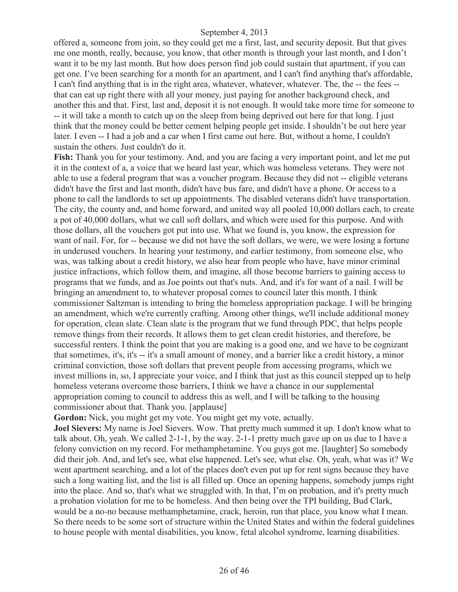offered a, someone from join, so they could get me a first, last, and security deposit. But that gives me one month, really, because, you know, that other month is through your last month, and I don't want it to be my last month. But how does person find job could sustain that apartment, if you can get one. I've been searching for a month for an apartment, and I can't find anything that's affordable, I can't find anything that is in the right area, whatever, whatever, whatever. The, the -- the fees - that can eat up right there with all your money, just paying for another background check, and another this and that. First, last and, deposit it is not enough. It would take more time for someone to -- it will take a month to catch up on the sleep from being deprived out here for that long. I just think that the money could be better cement helping people get inside. I shouldn't be out here year later. I even -- I had a job and a car when I first came out here. But, without a home, I couldn't sustain the others. Just couldn't do it.

**Fish:** Thank you for your testimony. And, and you are facing a very important point, and let me put it in the context of a, a voice that we heard last year, which was homeless veterans. They were not able to use a federal program that was a voucher program. Because they did not -- eligible veterans didn't have the first and last month, didn't have bus fare, and didn't have a phone. Or access to a phone to call the landlords to set up appointments. The disabled veterans didn't have transportation. The city, the county and, and home forward, and united way all pooled 10,000 dollars each, to create a pot of 40,000 dollars, what we call soft dollars, and which were used for this purpose. And with those dollars, all the vouchers got put into use. What we found is, you know, the expression for want of nail. For, for -- because we did not have the soft dollars, we were, we were losing a fortune in underused vouchers. In hearing your testimony, and earlier testimony, from someone else, who was, was talking about a credit history, we also hear from people who have, have minor criminal justice infractions, which follow them, and imagine, all those become barriers to gaining access to programs that we funds, and as Joe points out that's nuts. And, and it's for want of a nail. I will be bringing an amendment to, to whatever proposal comes to council later this month. I think commissioner Saltzman is intending to bring the homeless appropriation package. I will be bringing an amendment, which we're currently crafting. Among other things, we'll include additional money for operation, clean slate. Clean slate is the program that we fund through PDC, that helps people remove things from their records. It allows them to get clean credit histories, and therefore, be successful renters. I think the point that you are making is a good one, and we have to be cognizant that sometimes, it's, it's -- it's a small amount of money, and a barrier like a credit history, a minor criminal conviction, those soft dollars that prevent people from accessing programs, which we invest millions in, so, I appreciate your voice, and I think that just as this council stepped up to help homeless veterans overcome those barriers, I think we have a chance in our supplemental appropriation coming to council to address this as well, and I will be talking to the housing commissioner about that. Thank you. [applause]

**Gordon:** Nick, you might get my vote. You might get my vote, actually.

**Joel Sievers:** My name is Joel Sievers. Wow. That pretty much summed it up. I don't know what to talk about. Oh, yeah. We called 2-1-1, by the way. 2-1-1 pretty much gave up on us due to I have a felony conviction on my record. For methamphetamine. You guys got me. [laughter] So somebody did their job. And, and let's see, what else happened. Let's see, what else. Oh, yeah, what was it? We went apartment searching, and a lot of the places don't even put up for rent signs because they have such a long waiting list, and the list is all filled up. Once an opening happens, somebody jumps right into the place. And so, that's what we struggled with. In that, I'm on probation, and it's pretty much a probation violation for me to be homeless. And then being over the TPI building, Bud Clark, would be a no-no because methamphetamine, crack, heroin, run that place, you know what I mean. So there needs to be some sort of structure within the United States and within the federal guidelines to house people with mental disabilities, you know, fetal alcohol syndrome, learning disabilities.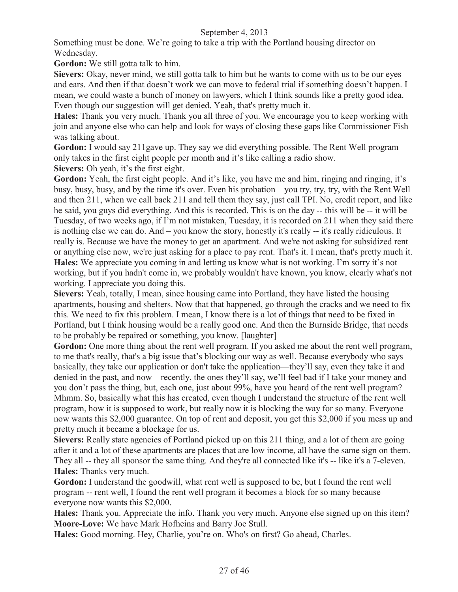Something must be done. We're going to take a trip with the Portland housing director on Wednesday.

**Gordon:** We still gotta talk to him.

**Sievers:** Okay, never mind, we still gotta talk to him but he wants to come with us to be our eyes and ears. And then if that doesn't work we can move to federal trial if something doesn't happen. I mean, we could waste a bunch of money on lawyers, which I think sounds like a pretty good idea. Even though our suggestion will get denied. Yeah, that's pretty much it.

**Hales:** Thank you very much. Thank you all three of you. We encourage you to keep working with join and anyone else who can help and look for ways of closing these gaps like Commissioner Fish was talking about.

**Gordon:** I would say 211gave up. They say we did everything possible. The Rent Well program only takes in the first eight people per month and it's like calling a radio show. **Sievers:** Oh yeah, it's the first eight.

Gordon: Yeah, the first eight people. And it's like, you have me and him, ringing and ringing, it's busy, busy, busy, and by the time it's over. Even his probation – you try, try, try, with the Rent Well and then 211, when we call back 211 and tell them they say, just call TPI. No, credit report, and like he said, you guys did everything. And this is recorded. This is on the day -- this will be -- it will be Tuesday, of two weeks ago, if I'm not mistaken, Tuesday, it is recorded on 211 when they said there is nothing else we can do. And – you know the story, honestly it's really -- it's really ridiculous. It really is. Because we have the money to get an apartment. And we're not asking for subsidized rent or anything else now, we're just asking for a place to pay rent. That's it. I mean, that's pretty much it. **Hales:** We appreciate you coming in and letting us know what is not working. I'm sorry it's not working, but if you hadn't come in, we probably wouldn't have known, you know, clearly what's not working. I appreciate you doing this.

**Sievers:** Yeah, totally, I mean, since housing came into Portland, they have listed the housing apartments, housing and shelters. Now that that happened, go through the cracks and we need to fix this. We need to fix this problem. I mean, I know there is a lot of things that need to be fixed in Portland, but I think housing would be a really good one. And then the Burnside Bridge, that needs to be probably be repaired or something, you know. [laughter]

Gordon: One more thing about the rent well program. If you asked me about the rent well program, to me that's really, that's a big issue that's blocking our way as well. Because everybody who says basically, they take our application or don't take the application—they'll say, even they take it and denied in the past, and now – recently, the ones they'll say, we'll feel bad if I take your money and you don't pass the thing, but, each one, just about 99%, have you heard of the rent well program? Mhmm. So, basically what this has created, even though I understand the structure of the rent well program, how it is supposed to work, but really now it is blocking the way for so many. Everyone now wants this \$2,000 guarantee. On top of rent and deposit, you get this \$2,000 if you mess up and pretty much it became a blockage for us.

Sievers: Really state agencies of Portland picked up on this 211 thing, and a lot of them are going after it and a lot of these apartments are places that are low income, all have the same sign on them. They all -- they all sponsor the same thing. And they're all connected like it's -- like it's a 7-eleven. **Hales:** Thanks very much.

**Gordon:** I understand the goodwill, what rent well is supposed to be, but I found the rent well program -- rent well, I found the rent well program it becomes a block for so many because everyone now wants this \$2,000.

**Hales:** Thank you. Appreciate the info. Thank you very much. Anyone else signed up on this item? **Moore-Love:** We have Mark Hofheins and Barry Joe Stull.

**Hales:** Good morning. Hey, Charlie, you're on. Who's on first? Go ahead, Charles.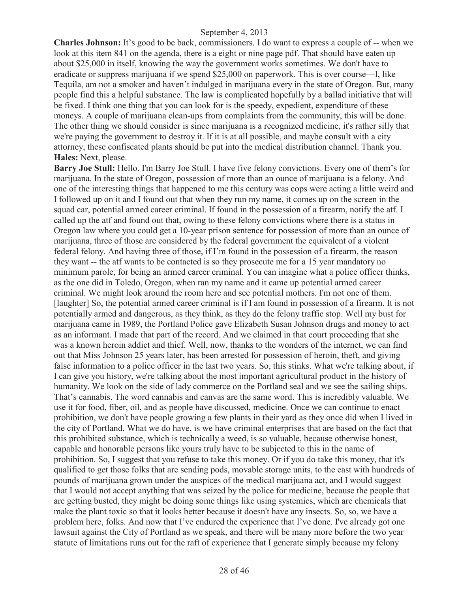**Charles Johnson:** It's good to be back, commissioners. I do want to express a couple of -- when we look at this item 841 on the agenda, there is a eight or nine page pdf. That should have eaten up about \$25,000 in itself, knowing the way the government works sometimes. We don't have to eradicate or suppress marijuana if we spend \$25,000 on paperwork. This is over course—I, like Tequila, am not a smoker and haven't indulged in marijuana every in the state of Oregon. But, many people find this a helpful substance. The law is complicated hopefully by a ballad initiative that will be fixed. I think one thing that you can look for is the speedy, expedient, expenditure of these moneys. A couple of marijuana clean-ups from complaints from the community, this will be done. The other thing we should consider is since marijuana is a recognized medicine, it's rather silly that we're paying the government to destroy it. If it is at all possible, and maybe consult with a city attorney, these confiscated plants should be put into the medical distribution channel. Thank you. **Hales:** Next, please.

**Barry Joe Stull:** Hello. I'm Barry Joe Stull. I have five felony convictions. Every one of them's for marijuana. In the state of Oregon, possession of more than an ounce of marijuana is a felony. And one of the interesting things that happened to me this century was cops were acting a little weird and I followed up on it and I found out that when they run my name, it comes up on the screen in the squad car, potential armed career criminal. If found in the possession of a firearm, notify the atf. I called up the atf and found out that, owing to these felony convictions where there is a status in Oregon law where you could get a 10-year prison sentence for possession of more than an ounce of marijuana, three of those are considered by the federal government the equivalent of a violent federal felony. And having three of those, if I'm found in the possession of a firearm, the reason they want -- the atf wants to be contacted is so they prosecute me for a 15 year mandatory no minimum parole, for being an armed career criminal. You can imagine what a police officer thinks, as the one did in Toledo, Oregon, when ran my name and it came up potential armed career criminal. We might look around the room here and see potential mothers. I'm not one of them. [laughter] So, the potential armed career criminal is if I am found in possession of a firearm. It is not potentially armed and dangerous, as they think, as they do the felony traffic stop. Well my bust for marijuana came in 1989, the Portland Police gave Elizabeth Susan Johnson drugs and money to act as an informant. I made that part of the record. And we claimed in that court proceeding that she was a known heroin addict and thief. Well, now, thanks to the wonders of the internet, we can find out that Miss Johnson 25 years later, has been arrested for possession of heroin, theft, and giving false information to a police officer in the last two years. So, this stinks. What we're talking about, if I can give you history, we're talking about the most important agricultural product in the history of humanity. We look on the side of lady commerce on the Portland seal and we see the sailing ships. That's cannabis. The word cannabis and canvas are the same word. This is incredibly valuable. We use it for food, fiber, oil, and as people have discussed, medicine. Once we can continue to enact prohibition, we don't have people growing a few plants in their yard as they once did when I lived in the city of Portland. What we do have, is we have criminal enterprises that are based on the fact that this prohibited substance, which is technically a weed, is so valuable, because otherwise honest, capable and honorable persons like yours truly have to be subjected to this in the name of prohibition. So, I suggest that you refuse to take this money. Or if you do take this money, that it's qualified to get those folks that are sending pods, movable storage units, to the east with hundreds of pounds of marijuana grown under the auspices of the medical marijuana act, and I would suggest that I would not accept anything that was seized by the police for medicine, because the people that are getting busted, they might be doing some things like using systemics, which are chemicals that make the plant toxic so that it looks better because it doesn't have any insects. So, so, we have a problem here, folks. And now that I've endured the experience that I've done. I've already got one lawsuit against the City of Portland as we speak, and there will be many more before the two year statute of limitations runs out for the raft of experience that I generate simply because my felony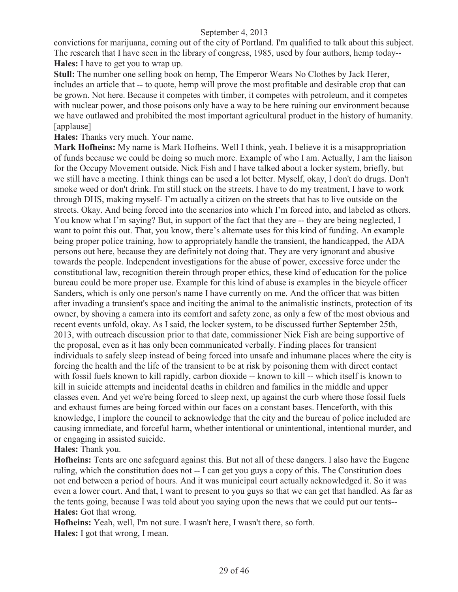convictions for marijuana, coming out of the city of Portland. I'm qualified to talk about this subject. The research that I have seen in the library of congress, 1985, used by four authors, hemp today-- **Hales:** I have to get you to wrap up.

**Stull:** The number one selling book on hemp, The Emperor Wears No Clothes by Jack Herer, includes an article that -- to quote, hemp will prove the most profitable and desirable crop that can be grown. Not here. Because it competes with timber, it competes with petroleum, and it competes with nuclear power, and those poisons only have a way to be here ruining our environment because we have outlawed and prohibited the most important agricultural product in the history of humanity. [applause]

**Hales:** Thanks very much. Your name.

**Mark Hofheins:** My name is Mark Hofheins. Well I think, yeah. I believe it is a misappropriation of funds because we could be doing so much more. Example of who I am. Actually, I am the liaison for the Occupy Movement outside. Nick Fish and I have talked about a locker system, briefly, but we still have a meeting. I think things can be used a lot better. Myself, okay, I don't do drugs. Don't smoke weed or don't drink. I'm still stuck on the streets. I have to do my treatment, I have to work through DHS, making myself- I'm actually a citizen on the streets that has to live outside on the streets. Okay. And being forced into the scenarios into which I'm forced into, and labeled as others. You know what I'm saying? But, in support of the fact that they are -- they are being neglected, I want to point this out. That, you know, there's alternate uses for this kind of funding. An example being proper police training, how to appropriately handle the transient, the handicapped, the ADA persons out here, because they are definitely not doing that. They are very ignorant and abusive towards the people. Independent investigations for the abuse of power, excessive force under the constitutional law, recognition therein through proper ethics, these kind of education for the police bureau could be more proper use. Example for this kind of abuse is examples in the bicycle officer Sanders, which is only one person's name I have currently on me. And the officer that was bitten after invading a transient's space and inciting the animal to the animalistic instincts, protection of its owner, by shoving a camera into its comfort and safety zone, as only a few of the most obvious and recent events unfold, okay. As I said, the locker system, to be discussed further September 25th, 2013, with outreach discussion prior to that date, commissioner Nick Fish are being supportive of the proposal, even as it has only been communicated verbally. Finding places for transient individuals to safely sleep instead of being forced into unsafe and inhumane places where the city is forcing the health and the life of the transient to be at risk by poisoning them with direct contact with fossil fuels known to kill rapidly, carbon dioxide -- known to kill -- which itself is known to kill in suicide attempts and incidental deaths in children and families in the middle and upper classes even. And yet we're being forced to sleep next, up against the curb where those fossil fuels and exhaust fumes are being forced within our faces on a constant bases. Henceforth, with this knowledge, I implore the council to acknowledge that the city and the bureau of police included are causing immediate, and forceful harm, whether intentional or unintentional, intentional murder, and or engaging in assisted suicide.

**Hales:** Thank you.

**Hofheins:** Tents are one safeguard against this. But not all of these dangers. I also have the Eugene ruling, which the constitution does not -- I can get you guys a copy of this. The Constitution does not end between a period of hours. And it was municipal court actually acknowledged it. So it was even a lower court. And that, I want to present to you guys so that we can get that handled. As far as the tents going, because I was told about you saying upon the news that we could put our tents-- **Hales:** Got that wrong.

**Hofheins:** Yeah, well, I'm not sure. I wasn't here, I wasn't there, so forth. **Hales:** I got that wrong, I mean.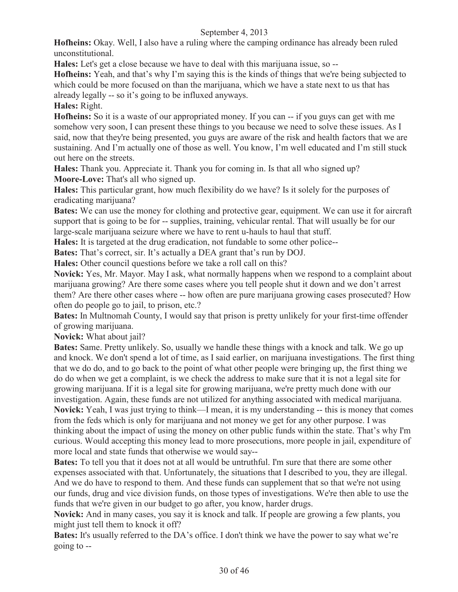**Hofheins:** Okay. Well, I also have a ruling where the camping ordinance has already been ruled unconstitutional.

**Hales:** Let's get a close because we have to deal with this marijuana issue, so --

**Hofheins:** Yeah, and that's why I'm saying this is the kinds of things that we're being subjected to which could be more focused on than the marijuana, which we have a state next to us that has already legally -- so it's going to be influxed anyways.

**Hales:** Right.

**Hofheins:** So it is a waste of our appropriated money. If you can  $-$  if you guys can get with me somehow very soon, I can present these things to you because we need to solve these issues. As I said, now that they're being presented, you guys are aware of the risk and health factors that we are sustaining. And I'm actually one of those as well. You know, I'm well educated and I'm still stuck out here on the streets.

**Hales:** Thank you. Appreciate it. Thank you for coming in. Is that all who signed up? **Moore-Love:** That's all who signed up.

**Hales:** This particular grant, how much flexibility do we have? Is it solely for the purposes of eradicating marijuana?

**Bates:** We can use the money for clothing and protective gear, equipment. We can use it for aircraft support that is going to be for -- supplies, training, vehicular rental. That will usually be for our large-scale marijuana seizure where we have to rent u-hauls to haul that stuff.

**Hales:** It is targeted at the drug eradication, not fundable to some other police--

**Bates:** That's correct, sir. It's actually a DEA grant that's run by DOJ.

Hales: Other council questions before we take a roll call on this?

**Novick:** Yes, Mr. Mayor. May I ask, what normally happens when we respond to a complaint about marijuana growing? Are there some cases where you tell people shut it down and we don't arrest them? Are there other cases where -- how often are pure marijuana growing cases prosecuted? How often do people go to jail, to prison, etc.?

**Bates:** In Multnomah County, I would say that prison is pretty unlikely for your first-time offender of growing marijuana.

**Novick:** What about jail?

**Bates:** Same. Pretty unlikely. So, usually we handle these things with a knock and talk. We go up and knock. We don't spend a lot of time, as I said earlier, on marijuana investigations. The first thing that we do do, and to go back to the point of what other people were bringing up, the first thing we do do when we get a complaint, is we check the address to make sure that it is not a legal site for growing marijuana. If it is a legal site for growing marijuana, we're pretty much done with our investigation. Again, these funds are not utilized for anything associated with medical marijuana. **Novick:** Yeah, I was just trying to think—I mean, it is my understanding -- this is money that comes from the feds which is only for marijuana and not money we get for any other purpose. I was thinking about the impact of using the money on other public funds within the state. That's why I'm curious. Would accepting this money lead to more prosecutions, more people in jail, expenditure of more local and state funds that otherwise we would say--

**Bates:** To tell you that it does not at all would be untruthful. I'm sure that there are some other expenses associated with that. Unfortunately, the situations that I described to you, they are illegal. And we do have to respond to them. And these funds can supplement that so that we're not using our funds, drug and vice division funds, on those types of investigations. We're then able to use the funds that we're given in our budget to go after, you know, harder drugs.

**Novick:** And in many cases, you say it is knock and talk. If people are growing a few plants, you might just tell them to knock it off?

**Bates:** It's usually referred to the DA's office. I don't think we have the power to say what we're going to --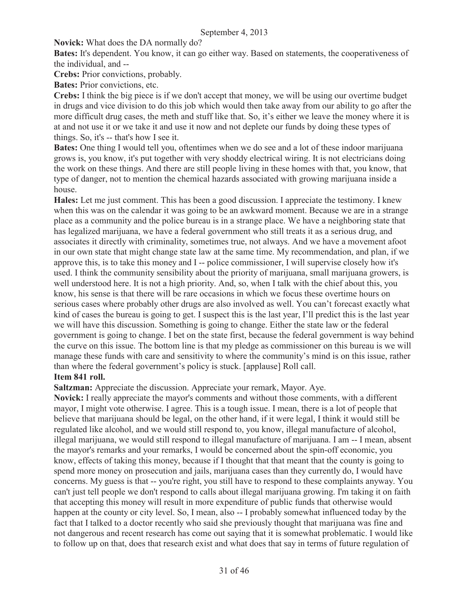**Novick:** What does the DA normally do?

**Bates:** It's dependent. You know, it can go either way. Based on statements, the cooperativeness of the individual, and --

**Crebs:** Prior convictions, probably.

**Bates:** Prior convictions, etc.

**Crebs:** I think the big piece is if we don't accept that money, we will be using our overtime budget in drugs and vice division to do this job which would then take away from our ability to go after the more difficult drug cases, the meth and stuff like that. So, it's either we leave the money where it is at and not use it or we take it and use it now and not deplete our funds by doing these types of things. So, it's -- that's how I see it.

**Bates:** One thing I would tell you, oftentimes when we do see and a lot of these indoor marijuana grows is, you know, it's put together with very shoddy electrical wiring. It is not electricians doing the work on these things. And there are still people living in these homes with that, you know, that type of danger, not to mention the chemical hazards associated with growing marijuana inside a house.

**Hales:** Let me just comment. This has been a good discussion. I appreciate the testimony. I knew when this was on the calendar it was going to be an awkward moment. Because we are in a strange place as a community and the police bureau is in a strange place. We have a neighboring state that has legalized marijuana, we have a federal government who still treats it as a serious drug, and associates it directly with criminality, sometimes true, not always. And we have a movement afoot in our own state that might change state law at the same time. My recommendation, and plan, if we approve this, is to take this money and I -- police commissioner, I will supervise closely how it's used. I think the community sensibility about the priority of marijuana, small marijuana growers, is well understood here. It is not a high priority. And, so, when I talk with the chief about this, you know, his sense is that there will be rare occasions in which we focus these overtime hours on serious cases where probably other drugs are also involved as well. You can't forecast exactly what kind of cases the bureau is going to get. I suspect this is the last year, I'll predict this is the last year we will have this discussion. Something is going to change. Either the state law or the federal government is going to change. I bet on the state first, because the federal government is way behind the curve on this issue. The bottom line is that my pledge as commissioner on this bureau is we will manage these funds with care and sensitivity to where the community's mind is on this issue, rather than where the federal government's policy is stuck. [applause] Roll call.

#### **Item 841 roll.**

**Saltzman:** Appreciate the discussion. Appreciate your remark, Mayor. Aye.

**Novick:** I really appreciate the mayor's comments and without those comments, with a different mayor, I might vote otherwise. I agree. This is a tough issue. I mean, there is a lot of people that believe that marijuana should be legal, on the other hand, if it were legal, I think it would still be regulated like alcohol, and we would still respond to, you know, illegal manufacture of alcohol, illegal marijuana, we would still respond to illegal manufacture of marijuana. I am -- I mean, absent the mayor's remarks and your remarks, I would be concerned about the spin-off economic, you know, effects of taking this money, because if I thought that that meant that the county is going to spend more money on prosecution and jails, marijuana cases than they currently do, I would have concerns. My guess is that -- you're right, you still have to respond to these complaints anyway. You can't just tell people we don't respond to calls about illegal marijuana growing. I'm taking it on faith that accepting this money will result in more expenditure of public funds that otherwise would happen at the county or city level. So, I mean, also -- I probably somewhat influenced today by the fact that I talked to a doctor recently who said she previously thought that marijuana was fine and not dangerous and recent research has come out saying that it is somewhat problematic. I would like to follow up on that, does that research exist and what does that say in terms of future regulation of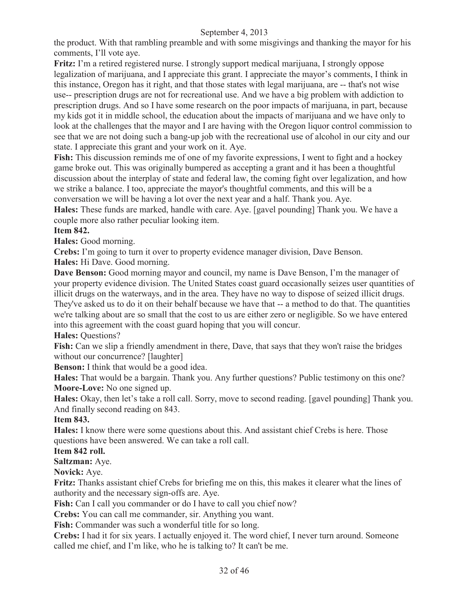the product. With that rambling preamble and with some misgivings and thanking the mayor for his comments, I'll vote aye.

**Fritz:** I'm a retired registered nurse. I strongly support medical marijuana, I strongly oppose legalization of marijuana, and I appreciate this grant. I appreciate the mayor's comments, I think in this instance, Oregon has it right, and that those states with legal marijuana, are -- that's not wise use-- prescription drugs are not for recreational use. And we have a big problem with addiction to prescription drugs. And so I have some research on the poor impacts of marijuana, in part, because my kids got it in middle school, the education about the impacts of marijuana and we have only to look at the challenges that the mayor and I are having with the Oregon liquor control commission to see that we are not doing such a bang-up job with the recreational use of alcohol in our city and our state. I appreciate this grant and your work on it. Aye.

**Fish:** This discussion reminds me of one of my favorite expressions, I went to fight and a hockey game broke out. This was originally bumpered as accepting a grant and it has been a thoughtful discussion about the interplay of state and federal law, the coming fight over legalization, and how we strike a balance. I too, appreciate the mayor's thoughtful comments, and this will be a conversation we will be having a lot over the next year and a half. Thank you. Aye.

**Hales:** These funds are marked, handle with care. Aye. [gavel pounding] Thank you. We have a couple more also rather peculiar looking item.

#### **Item 842.**

**Hales:** Good morning.

**Crebs:** I'm going to turn it over to property evidence manager division, Dave Benson.

**Hales:** Hi Dave. Good morning.

**Dave Benson:** Good morning mayor and council, my name is Dave Benson, I'm the manager of your property evidence division. The United States coast guard occasionally seizes user quantities of illicit drugs on the waterways, and in the area. They have no way to dispose of seized illicit drugs. They've asked us to do it on their behalf because we have that -- a method to do that. The quantities we're talking about are so small that the cost to us are either zero or negligible. So we have entered into this agreement with the coast guard hoping that you will concur.

**Hales:** Questions?

Fish: Can we slip a friendly amendment in there, Dave, that says that they won't raise the bridges without our concurrence? [laughter]

**Benson:** I think that would be a good idea.

**Hales:** That would be a bargain. Thank you. Any further questions? Public testimony on this one? **Moore-Love:** No one signed up.

**Hales:** Okay, then let's take a roll call. Sorry, move to second reading. [gavel pounding] Thank you. And finally second reading on 843.

#### **Item 843.**

**Hales:** I know there were some questions about this. And assistant chief Crebs is here. Those questions have been answered. We can take a roll call.

#### **Item 842 roll.**

**Saltzman:** Aye.

**Novick:** Aye.

**Fritz:** Thanks assistant chief Crebs for briefing me on this, this makes it clearer what the lines of authority and the necessary sign-offs are. Aye.

Fish: Can I call you commander or do I have to call you chief now?

**Crebs:** You can call me commander, sir. Anything you want.

**Fish:** Commander was such a wonderful title for so long.

**Crebs:** I had it for six years. I actually enjoyed it. The word chief, I never turn around. Someone called me chief, and I'm like, who he is talking to? It can't be me.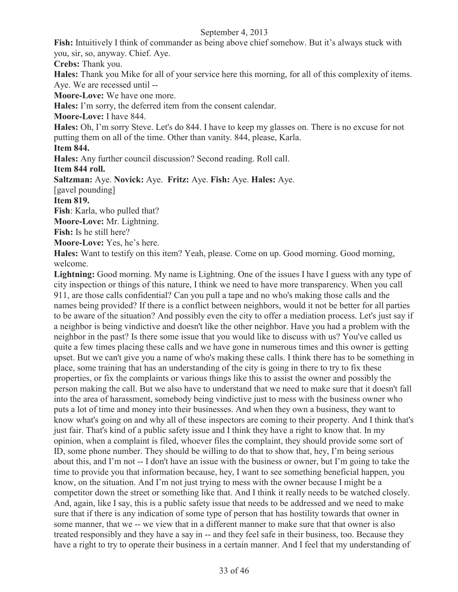**Fish:** Intuitively I think of commander as being above chief somehow. But it's always stuck with you, sir, so, anyway. Chief. Aye.

**Crebs:** Thank you.

**Hales:** Thank you Mike for all of your service here this morning, for all of this complexity of items. Aye. We are recessed until --

**Moore-Love:** We have one more.

**Hales:** I'm sorry, the deferred item from the consent calendar.

**Moore-Love:** I have 844.

**Hales:** Oh, I'm sorry Steve. Let's do 844. I have to keep my glasses on. There is no excuse for not putting them on all of the time. Other than vanity. 844, please, Karla.

**Item 844.**

**Hales:** Any further council discussion? Second reading. Roll call.

**Item 844 roll.**

**Saltzman:** Aye. **Novick:** Aye. **Fritz:** Aye. **Fish:** Aye. **Hales:** Aye.

[gavel pounding]

**Item 819.**

**Fish**: Karla, who pulled that?

**Moore-Love:** Mr. Lightning.

**Fish:** Is he still here?

**Moore-Love:** Yes, he's here.

**Hales:** Want to testify on this item? Yeah, please. Come on up. Good morning. Good morning, welcome.

Lightning: Good morning. My name is Lightning. One of the issues I have I guess with any type of city inspection or things of this nature, I think we need to have more transparency. When you call 911, are those calls confidential? Can you pull a tape and no who's making those calls and the names being provided? If there is a conflict between neighbors, would it not be better for all parties to be aware of the situation? And possibly even the city to offer a mediation process. Let's just say if a neighbor is being vindictive and doesn't like the other neighbor. Have you had a problem with the neighbor in the past? Is there some issue that you would like to discuss with us? You've called us quite a few times placing these calls and we have gone in numerous times and this owner is getting upset. But we can't give you a name of who's making these calls. I think there has to be something in place, some training that has an understanding of the city is going in there to try to fix these properties, or fix the complaints or various things like this to assist the owner and possibly the person making the call. But we also have to understand that we need to make sure that it doesn't fall into the area of harassment, somebody being vindictive just to mess with the business owner who puts a lot of time and money into their businesses. And when they own a business, they want to know what's going on and why all of these inspectors are coming to their property. And I think that's just fair. That's kind of a public safety issue and I think they have a right to know that. In my opinion, when a complaint is filed, whoever files the complaint, they should provide some sort of ID, some phone number. They should be willing to do that to show that, hey, I'm being serious about this, and I'm not -- I don't have an issue with the business or owner, but I'm going to take the time to provide you that information because, hey, I want to see something beneficial happen, you know, on the situation. And I'm not just trying to mess with the owner because I might be a competitor down the street or something like that. And I think it really needs to be watched closely. And, again, like I say, this is a public safety issue that needs to be addressed and we need to make sure that if there is any indication of some type of person that has hostility towards that owner in some manner, that we -- we view that in a different manner to make sure that that owner is also treated responsibly and they have a say in -- and they feel safe in their business, too. Because they have a right to try to operate their business in a certain manner. And I feel that my understanding of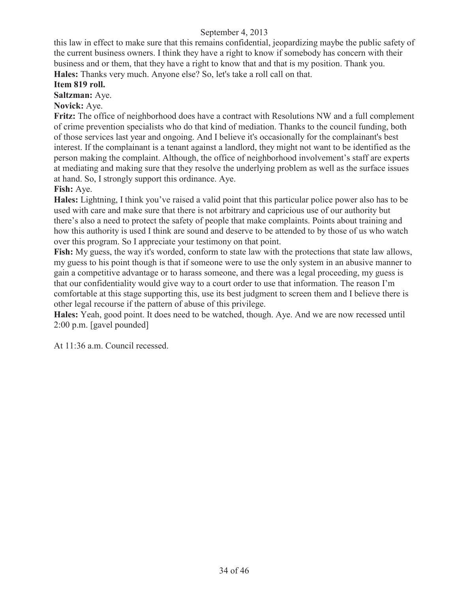this law in effect to make sure that this remains confidential, jeopardizing maybe the public safety of the current business owners. I think they have a right to know if somebody has concern with their business and or them, that they have a right to know that and that is my position. Thank you. **Hales:** Thanks very much. Anyone else? So, let's take a roll call on that.

## **Item 819 roll.**

**Saltzman:** Aye.

**Novick:** Aye.

**Fritz:** The office of neighborhood does have a contract with Resolutions NW and a full complement of crime prevention specialists who do that kind of mediation. Thanks to the council funding, both of those services last year and ongoing. And I believe it's occasionally for the complainant's best interest. If the complainant is a tenant against a landlord, they might not want to be identified as the person making the complaint. Although, the office of neighborhood involvement's staff are experts at mediating and making sure that they resolve the underlying problem as well as the surface issues at hand. So, I strongly support this ordinance. Aye.

**Fish:** Aye.

**Hales:** Lightning, I think you've raised a valid point that this particular police power also has to be used with care and make sure that there is not arbitrary and capricious use of our authority but there's also a need to protect the safety of people that make complaints. Points about training and how this authority is used I think are sound and deserve to be attended to by those of us who watch over this program. So I appreciate your testimony on that point.

**Fish:** My guess, the way it's worded, conform to state law with the protections that state law allows, my guess to his point though is that if someone were to use the only system in an abusive manner to gain a competitive advantage or to harass someone, and there was a legal proceeding, my guess is that our confidentiality would give way to a court order to use that information. The reason I'm comfortable at this stage supporting this, use its best judgment to screen them and I believe there is other legal recourse if the pattern of abuse of this privilege.

**Hales:** Yeah, good point. It does need to be watched, though. Aye. And we are now recessed until 2:00 p.m. [gavel pounded]

At 11:36 a.m. Council recessed.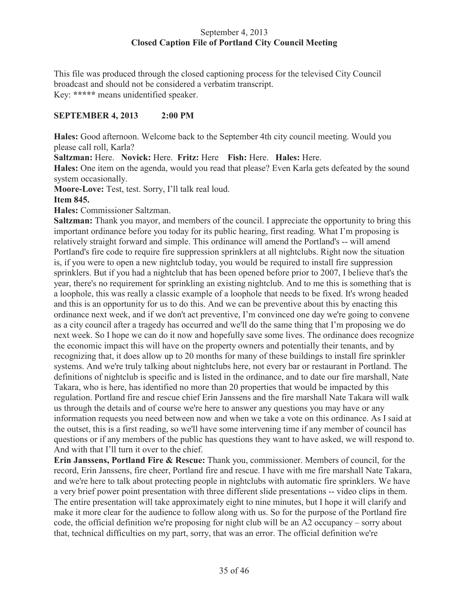#### September 4, 2013 **Closed Caption File of Portland City Council Meeting**

This file was produced through the closed captioning process for the televised City Council broadcast and should not be considered a verbatim transcript. Key: **\*\*\*\*\*** means unidentified speaker.

#### **SEPTEMBER 4, 2013 2:00 PM**

**Hales:** Good afternoon. Welcome back to the September 4th city council meeting. Would you please call roll, Karla?

**Saltzman:** Here. **Novick:** Here. **Fritz:** Here **Fish:** Here. **Hales:** Here.

**Hales:** One item on the agenda, would you read that please? Even Karla gets defeated by the sound system occasionally.

**Moore-Love:** Test, test. Sorry, I'll talk real loud.

#### **Item 845.**

**Hales:** Commissioner Saltzman.

**Saltzman:** Thank you mayor, and members of the council. I appreciate the opportunity to bring this important ordinance before you today for its public hearing, first reading. What I'm proposing is relatively straight forward and simple. This ordinance will amend the Portland's -- will amend Portland's fire code to require fire suppression sprinklers at all nightclubs. Right now the situation is, if you were to open a new nightclub today, you would be required to install fire suppression sprinklers. But if you had a nightclub that has been opened before prior to 2007, I believe that's the year, there's no requirement for sprinkling an existing nightclub. And to me this is something that is a loophole, this was really a classic example of a loophole that needs to be fixed. It's wrong headed and this is an opportunity for us to do this. And we can be preventive about this by enacting this ordinance next week, and if we don't act preventive, I'm convinced one day we're going to convene as a city council after a tragedy has occurred and we'll do the same thing that I'm proposing we do next week. So I hope we can do it now and hopefully save some lives. The ordinance does recognize the economic impact this will have on the property owners and potentially their tenants, and by recognizing that, it does allow up to 20 months for many of these buildings to install fire sprinkler systems. And we're truly talking about nightclubs here, not every bar or restaurant in Portland. The definitions of nightclub is specific and is listed in the ordinance, and to date our fire marshall, Nate Takara, who is here, has identified no more than 20 properties that would be impacted by this regulation. Portland fire and rescue chief Erin Janssens and the fire marshall Nate Takara will walk us through the details and of course we're here to answer any questions you may have or any information requests you need between now and when we take a vote on this ordinance. As I said at the outset, this is a first reading, so we'll have some intervening time if any member of council has questions or if any members of the public has questions they want to have asked, we will respond to. And with that I'll turn it over to the chief.

**Erin Janssens, Portland Fire & Rescue:** Thank you, commissioner. Members of council, for the record, Erin Janssens, fire cheer, Portland fire and rescue. I have with me fire marshall Nate Takara, and we're here to talk about protecting people in nightclubs with automatic fire sprinklers. We have a very brief power point presentation with three different slide presentations -- video clips in them. The entire presentation will take approximately eight to nine minutes, but I hope it will clarify and make it more clear for the audience to follow along with us. So for the purpose of the Portland fire code, the official definition we're proposing for night club will be an A2 occupancy – sorry about that, technical difficulties on my part, sorry, that was an error. The official definition we're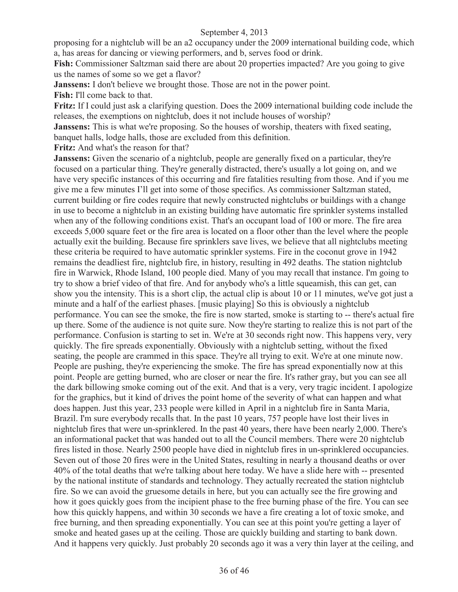proposing for a nightclub will be an a2 occupancy under the 2009 international building code, which a, has areas for dancing or viewing performers, and b, serves food or drink.

**Fish:** Commissioner Saltzman said there are about 20 properties impacted? Are you going to give us the names of some so we get a flavor?

**Janssens:** I don't believe we brought those. Those are not in the power point.

**Fish:** I'll come back to that.

**Fritz:** If I could just ask a clarifying question. Does the 2009 international building code include the releases, the exemptions on nightclub, does it not include houses of worship?

**Janssens:** This is what we're proposing. So the houses of worship, theaters with fixed seating, banquet halls, lodge halls, those are excluded from this definition.

**Fritz:** And what's the reason for that?

**Janssens:** Given the scenario of a nightclub, people are generally fixed on a particular, they're focused on a particular thing. They're generally distracted, there's usually a lot going on, and we have very specific instances of this occurring and fire fatalities resulting from those. And if you me give me a few minutes I'll get into some of those specifics. As commissioner Saltzman stated, current building or fire codes require that newly constructed nightclubs or buildings with a change in use to become a nightclub in an existing building have automatic fire sprinkler systems installed when any of the following conditions exist. That's an occupant load of 100 or more. The fire area exceeds 5,000 square feet or the fire area is located on a floor other than the level where the people actually exit the building. Because fire sprinklers save lives, we believe that all nightclubs meeting these criteria be required to have automatic sprinkler systems. Fire in the coconut grove in 1942 remains the deadliest fire, nightclub fire, in history, resulting in 492 deaths. The station nightclub fire in Warwick, Rhode Island, 100 people died. Many of you may recall that instance. I'm going to try to show a brief video of that fire. And for anybody who's a little squeamish, this can get, can show you the intensity. This is a short clip, the actual clip is about 10 or 11 minutes, we've got just a minute and a half of the earliest phases. [music playing] So this is obviously a nightclub performance. You can see the smoke, the fire is now started, smoke is starting to -- there's actual fire up there. Some of the audience is not quite sure. Now they're starting to realize this is not part of the performance. Confusion is starting to set in. We're at 30 seconds right now. This happens very, very quickly. The fire spreads exponentially. Obviously with a nightclub setting, without the fixed seating, the people are crammed in this space. They're all trying to exit. We're at one minute now. People are pushing, they're experiencing the smoke. The fire has spread exponentially now at this point. People are getting burned, who are closer or near the fire. It's rather gray, but you can see all the dark billowing smoke coming out of the exit. And that is a very, very tragic incident. I apologize for the graphics, but it kind of drives the point home of the severity of what can happen and what does happen. Just this year, 233 people were killed in April in a nightclub fire in Santa Maria, Brazil. I'm sure everybody recalls that. In the past 10 years, 757 people have lost their lives in nightclub fires that were un-sprinklered. In the past 40 years, there have been nearly 2,000. There's an informational packet that was handed out to all the Council members. There were 20 nightclub fires listed in those. Nearly 2500 people have died in nightclub fires in un-sprinklered occupancies. Seven out of those 20 fires were in the United States, resulting in nearly a thousand deaths or over 40% of the total deaths that we're talking about here today. We have a slide here with -- presented by the national institute of standards and technology. They actually recreated the station nightclub fire. So we can avoid the gruesome details in here, but you can actually see the fire growing and how it goes quickly goes from the incipient phase to the free burning phase of the fire. You can see how this quickly happens, and within 30 seconds we have a fire creating a lot of toxic smoke, and free burning, and then spreading exponentially. You can see at this point you're getting a layer of smoke and heated gases up at the ceiling. Those are quickly building and starting to bank down. And it happens very quickly. Just probably 20 seconds ago it was a very thin layer at the ceiling, and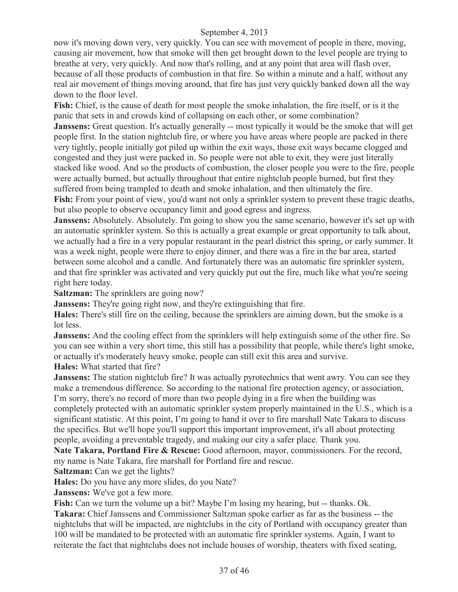now it's moving down very, very quickly. You can see with movement of people in there, moving, causing air movement, how that smoke will then get brought down to the level people are trying to breathe at very, very quickly. And now that's rolling, and at any point that area will flash over, because of all those products of combustion in that fire. So within a minute and a half, without any real air movement of things moving around, that fire has just very quickly banked down all the way down to the floor level.

**Fish:** Chief, is the cause of death for most people the smoke inhalation, the fire itself, or is it the panic that sets in and crowds kind of collapsing on each other, or some combination?

**Janssens:** Great question. It's actually generally -- most typically it would be the smoke that will get people first. In the station nightclub fire, or where you have areas where people are packed in there very tightly, people initially got piled up within the exit ways, those exit ways became clogged and congested and they just were packed in. So people were not able to exit, they were just literally stacked like wood. And so the products of combustion, the closer people you were to the fire, people were actually burned, but actually throughout that entire nightclub people burned, but first they suffered from being trampled to death and smoke inhalation, and then ultimately the fire. **Fish:** From your point of view, you'd want not only a sprinkler system to prevent these tragic deaths, but also people to observe occupancy limit and good egress and ingress.

**Janssens:** Absolutely. Absolutely. I'm going to show you the same scenario, however it's set up with an automatic sprinkler system. So this is actually a great example or great opportunity to talk about, we actually had a fire in a very popular restaurant in the pearl district this spring, or early summer. It was a week night, people were there to enjoy dinner, and there was a fire in the bar area, started between some alcohol and a candle. And fortunately there was an automatic fire sprinkler system, and that fire sprinkler was activated and very quickly put out the fire, much like what you're seeing right here today.

**Saltzman:** The sprinklers are going now?

**Janssens:** They're going right now, and they're extinguishing that fire.

**Hales:** There's still fire on the ceiling, because the sprinklers are aiming down, but the smoke is a lot less.

**Janssens:** And the cooling effect from the sprinklers will help extinguish some of the other fire. So you can see within a very short time, this still has a possibility that people, while there's light smoke, or actually it's moderately heavy smoke, people can still exit this area and survive.

**Hales:** What started that fire?

**Janssens:** The station nightclub fire? It was actually pyrotechnics that went awry. You can see they make a tremendous difference. So according to the national fire protection agency, or association, I'm sorry, there's no record of more than two people dying in a fire when the building was completely protected with an automatic sprinkler system properly maintained in the U.S., which is a significant statistic. At this point, I'm going to hand it over to fire marshall Nate Takara to discuss the specifics. But we'll hope you'll support this important improvement, it's all about protecting people, avoiding a preventable tragedy, and making our city a safer place. Thank you.

Nate Takara, Portland Fire & Rescue: Good afternoon, mayor, commissioners. For the record, my name is Nate Takara, fire marshall for Portland fire and rescue.

**Saltzman:** Can we get the lights?

**Hales:** Do you have any more slides, do you Nate?

**Janssens:** We've got a few more.

**Fish:** Can we turn the volume up a bit? Maybe I'm losing my hearing, but -- thanks. Ok. **Takara:** Chief Janssens and Commissioner Saltzman spoke earlier as far as the business -- the nightclubs that will be impacted, are nightclubs in the city of Portland with occupancy greater than 100 will be mandated to be protected with an automatic fire sprinkler systems. Again, I want to reiterate the fact that nightclubs does not include houses of worship, theaters with fixed seating,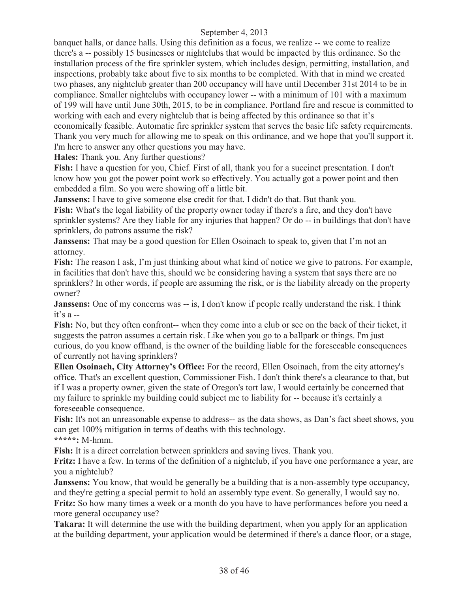banquet halls, or dance halls. Using this definition as a focus, we realize -- we come to realize there's a -- possibly 15 businesses or nightclubs that would be impacted by this ordinance. So the installation process of the fire sprinkler system, which includes design, permitting, installation, and inspections, probably take about five to six months to be completed. With that in mind we created two phases, any nightclub greater than 200 occupancy will have until December 31st 2014 to be in compliance. Smaller nightclubs with occupancy lower -- with a minimum of 101 with a maximum of 199 will have until June 30th, 2015, to be in compliance. Portland fire and rescue is committed to working with each and every nightclub that is being affected by this ordinance so that it's economically feasible. Automatic fire sprinkler system that serves the basic life safety requirements. Thank you very much for allowing me to speak on this ordinance, and we hope that you'll support it. I'm here to answer any other questions you may have.

**Hales:** Thank you. Any further questions?

**Fish:** I have a question for you, Chief. First of all, thank you for a succinct presentation. I don't know how you got the power point work so effectively. You actually got a power point and then embedded a film. So you were showing off a little bit.

**Janssens:** I have to give someone else credit for that. I didn't do that. But thank you.

**Fish:** What's the legal liability of the property owner today if there's a fire, and they don't have sprinkler systems? Are they liable for any injuries that happen? Or do -- in buildings that don't have sprinklers, do patrons assume the risk?

**Janssens:** That may be a good question for Ellen Osoinach to speak to, given that I'm not an attorney.

**Fish:** The reason I ask, I'm just thinking about what kind of notice we give to patrons. For example, in facilities that don't have this, should we be considering having a system that says there are no sprinklers? In other words, if people are assuming the risk, or is the liability already on the property owner?

**Janssens:** One of my concerns was -- is, I don't know if people really understand the risk. I think it's  $a -$ 

**Fish:** No, but they often confront-- when they come into a club or see on the back of their ticket, it suggests the patron assumes a certain risk. Like when you go to a ballpark or things. I'm just curious, do you know offhand, is the owner of the building liable for the foreseeable consequences of currently not having sprinklers?

**Ellen Osoinach, City Attorney's Office:** For the record, Ellen Osoinach, from the city attorney's office. That's an excellent question, Commissioner Fish. I don't think there's a clearance to that, but if I was a property owner, given the state of Oregon's tort law, I would certainly be concerned that my failure to sprinkle my building could subject me to liability for -- because it's certainly a foreseeable consequence.

Fish: It's not an unreasonable expense to address-- as the data shows, as Dan's fact sheet shows, you can get 100% mitigation in terms of deaths with this technology. **\*\*\*\*\*:** M-hmm.

**Fish:** It is a direct correlation between sprinklers and saving lives. Thank you.

**Fritz:** I have a few. In terms of the definition of a nightclub, if you have one performance a year, are you a nightclub?

**Janssens:** You know, that would be generally be a building that is a non-assembly type occupancy, and they're getting a special permit to hold an assembly type event. So generally, I would say no. **Fritz:** So how many times a week or a month do you have to have performances before you need a more general occupancy use?

**Takara:** It will determine the use with the building department, when you apply for an application at the building department, your application would be determined if there's a dance floor, or a stage,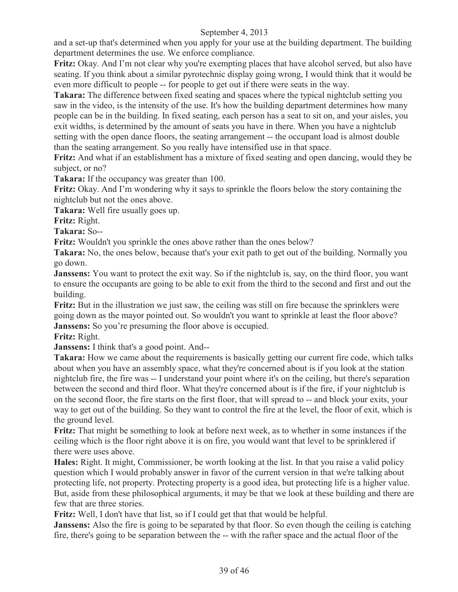and a set-up that's determined when you apply for your use at the building department. The building department determines the use. We enforce compliance.

Fritz: Okay. And I'm not clear why you're exempting places that have alcohol served, but also have seating. If you think about a similar pyrotechnic display going wrong, I would think that it would be even more difficult to people -- for people to get out if there were seats in the way.

**Takara:** The difference between fixed seating and spaces where the typical nightclub setting you saw in the video, is the intensity of the use. It's how the building department determines how many people can be in the building. In fixed seating, each person has a seat to sit on, and your aisles, you exit widths, is determined by the amount of seats you have in there. When you have a nightclub setting with the open dance floors, the seating arrangement -- the occupant load is almost double than the seating arrangement. So you really have intensified use in that space.

**Fritz:** And what if an establishment has a mixture of fixed seating and open dancing, would they be subject, or no?

**Takara:** If the occupancy was greater than 100.

**Fritz:** Okay. And I'm wondering why it says to sprinkle the floors below the story containing the nightclub but not the ones above.

**Takara:** Well fire usually goes up.

**Fritz:** Right.

**Takara:** So--

Fritz: Wouldn't you sprinkle the ones above rather than the ones below?

**Takara:** No, the ones below, because that's your exit path to get out of the building. Normally you go down.

**Janssens:** You want to protect the exit way. So if the nightclub is, say, on the third floor, you want to ensure the occupants are going to be able to exit from the third to the second and first and out the building.

**Fritz:** But in the illustration we just saw, the ceiling was still on fire because the sprinklers were going down as the mayor pointed out. So wouldn't you want to sprinkle at least the floor above? **Janssens:** So you're presuming the floor above is occupied.

**Fritz:** Right.

**Janssens:** I think that's a good point. And--

**Takara:** How we came about the requirements is basically getting our current fire code, which talks about when you have an assembly space, what they're concerned about is if you look at the station nightclub fire, the fire was -- I understand your point where it's on the ceiling, but there's separation between the second and third floor. What they're concerned about is if the fire, if your nightclub is on the second floor, the fire starts on the first floor, that will spread to -- and block your exits, your way to get out of the building. So they want to control the fire at the level, the floor of exit, which is the ground level.

**Fritz:** That might be something to look at before next week, as to whether in some instances if the ceiling which is the floor right above it is on fire, you would want that level to be sprinklered if there were uses above.

**Hales:** Right. It might, Commissioner, be worth looking at the list. In that you raise a valid policy question which I would probably answer in favor of the current version in that we're talking about protecting life, not property. Protecting property is a good idea, but protecting life is a higher value. But, aside from these philosophical arguments, it may be that we look at these building and there are few that are three stories.

**Fritz:** Well, I don't have that list, so if I could get that that would be helpful.

**Janssens:** Also the fire is going to be separated by that floor. So even though the ceiling is catching fire, there's going to be separation between the -- with the rafter space and the actual floor of the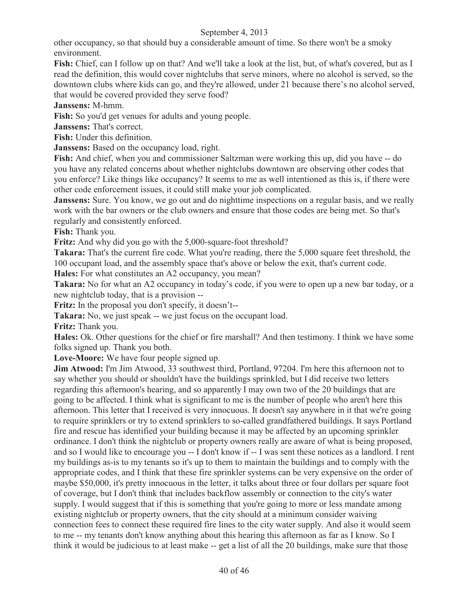other occupancy, so that should buy a considerable amount of time. So there won't be a smoky environment.

**Fish:** Chief, can I follow up on that? And we'll take a look at the list, but, of what's covered, but as I read the definition, this would cover nightclubs that serve minors, where no alcohol is served, so the downtown clubs where kids can go, and they're allowed, under 21 because there's no alcohol served, that would be covered provided they serve food?

**Janssens:** M-hmm.

Fish: So you'd get venues for adults and young people.

**Janssens:** That's correct.

**Fish:** Under this definition.

**Janssens:** Based on the occupancy load, right.

**Fish:** And chief, when you and commissioner Saltzman were working this up, did you have -- do you have any related concerns about whether nightclubs downtown are observing other codes that you enforce? Like things like occupancy? It seems to me as well intentioned as this is, if there were other code enforcement issues, it could still make your job complicated.

**Janssens:** Sure. You know, we go out and do nighttime inspections on a regular basis, and we really work with the bar owners or the club owners and ensure that those codes are being met. So that's regularly and consistently enforced.

**Fish:** Thank you.

**Fritz:** And why did you go with the 5,000-square-foot threshold?

**Takara:** That's the current fire code. What you're reading, there the 5,000 square feet threshold, the 100 occupant load, and the assembly space that's above or below the exit, that's current code.

**Hales:** For what constitutes an A2 occupancy, you mean?

**Takara:** No for what an A2 occupancy in today's code, if you were to open up a new bar today, or a new nightclub today, that is a provision --

**Fritz:** In the proposal you don't specify, it doesn't--

**Takara:** No, we just speak -- we just focus on the occupant load.

**Fritz:** Thank you.

**Hales:** Ok. Other questions for the chief or fire marshall? And then testimony. I think we have some folks signed up. Thank you both.

**Love-Moore:** We have four people signed up.

**Jim Atwood:** I'm Jim Atwood, 33 southwest third, Portland, 97204. I'm here this afternoon not to say whether you should or shouldn't have the buildings sprinkled, but I did receive two letters regarding this afternoon's hearing, and so apparently I may own two of the 20 buildings that are going to be affected. I think what is significant to me is the number of people who aren't here this afternoon. This letter that I received is very innocuous. It doesn't say anywhere in it that we're going to require sprinklers or try to extend sprinklers to so-called grandfathered buildings. It says Portland fire and rescue has identified your building because it may be affected by an upcoming sprinkler ordinance. I don't think the nightclub or property owners really are aware of what is being proposed, and so I would like to encourage you -- I don't know if -- I was sent these notices as a landlord. I rent my buildings as-is to my tenants so it's up to them to maintain the buildings and to comply with the appropriate codes, and I think that these fire sprinkler systems can be very expensive on the order of maybe \$50,000, it's pretty innocuous in the letter, it talks about three or four dollars per square foot of coverage, but I don't think that includes backflow assembly or connection to the city's water supply. I would suggest that if this is something that you're going to more or less mandate among existing nightclub or property owners, that the city should at a minimum consider waiving connection fees to connect these required fire lines to the city water supply. And also it would seem to me -- my tenants don't know anything about this hearing this afternoon as far as I know. So I think it would be judicious to at least make -- get a list of all the 20 buildings, make sure that those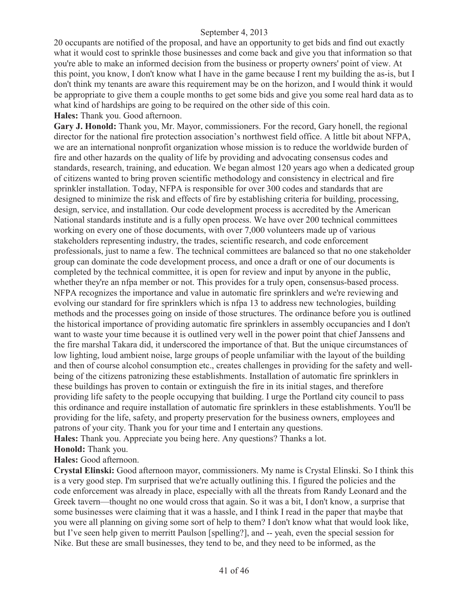20 occupants are notified of the proposal, and have an opportunity to get bids and find out exactly what it would cost to sprinkle those businesses and come back and give you that information so that you're able to make an informed decision from the business or property owners' point of view. At this point, you know, I don't know what I have in the game because I rent my building the as-is, but I don't think my tenants are aware this requirement may be on the horizon, and I would think it would be appropriate to give them a couple months to get some bids and give you some real hard data as to what kind of hardships are going to be required on the other side of this coin.

**Hales:** Thank you. Good afternoon.

**Gary J. Honold:** Thank you, Mr. Mayor, commissioners. For the record, Gary honell, the regional director for the national fire protection association's northwest field office. A little bit about NFPA, we are an international nonprofit organization whose mission is to reduce the worldwide burden of fire and other hazards on the quality of life by providing and advocating consensus codes and standards, research, training, and education. We began almost 120 years ago when a dedicated group of citizens wanted to bring proven scientific methodology and consistency in electrical and fire sprinkler installation. Today, NFPA is responsible for over 300 codes and standards that are designed to minimize the risk and effects of fire by establishing criteria for building, processing, design, service, and installation. Our code development process is accredited by the American National standards institute and is a fully open process. We have over 200 technical committees working on every one of those documents, with over 7,000 volunteers made up of various stakeholders representing industry, the trades, scientific research, and code enforcement professionals, just to name a few. The technical committees are balanced so that no one stakeholder group can dominate the code development process, and once a draft or one of our documents is completed by the technical committee, it is open for review and input by anyone in the public, whether they're an nfpa member or not. This provides for a truly open, consensus-based process. NFPA recognizes the importance and value in automatic fire sprinklers and we're reviewing and evolving our standard for fire sprinklers which is nfpa 13 to address new technologies, building methods and the processes going on inside of those structures. The ordinance before you is outlined the historical importance of providing automatic fire sprinklers in assembly occupancies and I don't want to waste your time because it is outlined very well in the power point that chief Janssens and the fire marshal Takara did, it underscored the importance of that. But the unique circumstances of low lighting, loud ambient noise, large groups of people unfamiliar with the layout of the building and then of course alcohol consumption etc., creates challenges in providing for the safety and wellbeing of the citizens patronizing these establishments. Installation of automatic fire sprinklers in these buildings has proven to contain or extinguish the fire in its initial stages, and therefore providing life safety to the people occupying that building. I urge the Portland city council to pass this ordinance and require installation of automatic fire sprinklers in these establishments. You'll be providing for the life, safety, and property preservation for the business owners, employees and patrons of your city. Thank you for your time and I entertain any questions.

**Hales:** Thank you. Appreciate you being here. Any questions? Thanks a lot. **Honold:** Thank you.

**Hales:** Good afternoon.

**Crystal Elinski:** Good afternoon mayor, commissioners. My name is Crystal Elinski. So I think this is a very good step. I'm surprised that we're actually outlining this. I figured the policies and the code enforcement was already in place, especially with all the threats from Randy Leonard and the Greek tavern—thought no one would cross that again. So it was a bit, I don't know, a surprise that some businesses were claiming that it was a hassle, and I think I read in the paper that maybe that you were all planning on giving some sort of help to them? I don't know what that would look like, but I've seen help given to merritt Paulson [spelling?], and -- yeah, even the special session for Nike. But these are small businesses, they tend to be, and they need to be informed, as the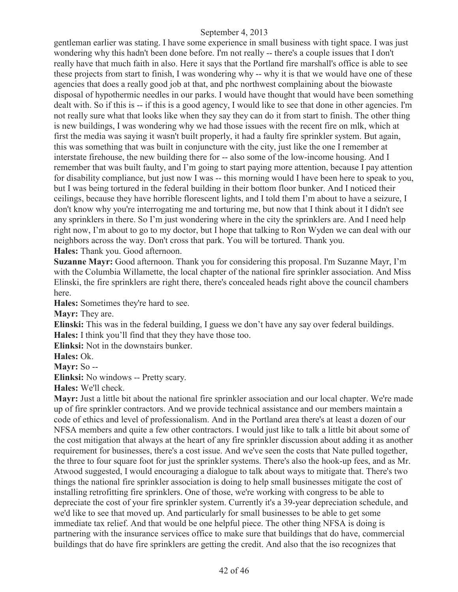gentleman earlier was stating. I have some experience in small business with tight space. I was just wondering why this hadn't been done before. I'm not really -- there's a couple issues that I don't really have that much faith in also. Here it says that the Portland fire marshall's office is able to see these projects from start to finish, I was wondering why -- why it is that we would have one of these agencies that does a really good job at that, and phc northwest complaining about the biowaste disposal of hypothermic needles in our parks. I would have thought that would have been something dealt with. So if this is -- if this is a good agency, I would like to see that done in other agencies. I'm not really sure what that looks like when they say they can do it from start to finish. The other thing is new buildings, I was wondering why we had those issues with the recent fire on mlk, which at first the media was saying it wasn't built properly, it had a faulty fire sprinkler system. But again, this was something that was built in conjuncture with the city, just like the one I remember at interstate firehouse, the new building there for -- also some of the low-income housing. And I remember that was built faulty, and I'm going to start paying more attention, because I pay attention for disability compliance, but just now I was -- this morning would I have been here to speak to you, but I was being tortured in the federal building in their bottom floor bunker. And I noticed their ceilings, because they have horrible florescent lights, and I told them I'm about to have a seizure, I don't know why you're interrogating me and torturing me, but now that I think about it I didn't see any sprinklers in there. So I'm just wondering where in the city the sprinklers are. And I need help right now, I'm about to go to my doctor, but I hope that talking to Ron Wyden we can deal with our neighbors across the way. Don't cross that park. You will be tortured. Thank you. **Hales:** Thank you. Good afternoon.

**Suzanne Mayr:** Good afternoon. Thank you for considering this proposal. I'm Suzanne Mayr, I'm with the Columbia Willamette, the local chapter of the national fire sprinkler association. And Miss Elinski, the fire sprinklers are right there, there's concealed heads right above the council chambers here.

**Hales:** Sometimes they're hard to see.

**Mayr:** They are.

**Elinski:** This was in the federal building, I guess we don't have any say over federal buildings. **Hales:** I think you'll find that they they have those too.

**Elinksi:** Not in the downstairs bunker.

**Hales:** Ok.

**Mayr:** So --

**Elinksi:** No windows -- Pretty scary.

**Hales:** We'll check.

**Mayr:** Just a little bit about the national fire sprinkler association and our local chapter. We're made up of fire sprinkler contractors. And we provide technical assistance and our members maintain a code of ethics and level of professionalism. And in the Portland area there's at least a dozen of our NFSA members and quite a few other contractors. I would just like to talk a little bit about some of the cost mitigation that always at the heart of any fire sprinkler discussion about adding it as another requirement for businesses, there's a cost issue. And we've seen the costs that Nate pulled together, the three to four square foot for just the sprinkler systems. There's also the hook-up fees, and as Mr. Atwood suggested, I would encouraging a dialogue to talk about ways to mitigate that. There's two things the national fire sprinkler association is doing to help small businesses mitigate the cost of installing retrofitting fire sprinklers. One of those, we're working with congress to be able to depreciate the cost of your fire sprinkler system. Currently it's a 39-year depreciation schedule, and we'd like to see that moved up. And particularly for small businesses to be able to get some immediate tax relief. And that would be one helpful piece. The other thing NFSA is doing is partnering with the insurance services office to make sure that buildings that do have, commercial buildings that do have fire sprinklers are getting the credit. And also that the iso recognizes that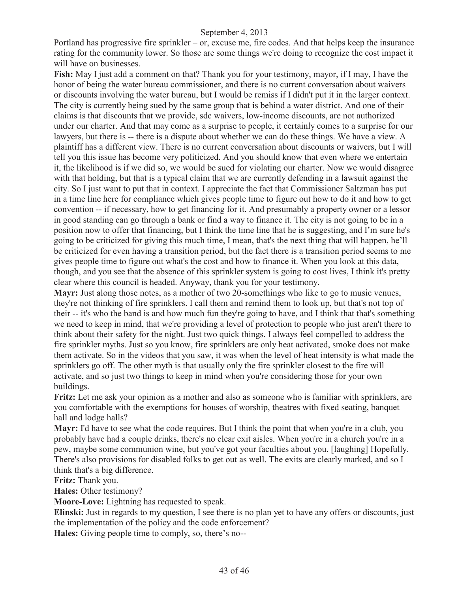Portland has progressive fire sprinkler – or, excuse me, fire codes. And that helps keep the insurance rating for the community lower. So those are some things we're doing to recognize the cost impact it will have on businesses.

**Fish:** May I just add a comment on that? Thank you for your testimony, mayor, if I may, I have the honor of being the water bureau commissioner, and there is no current conversation about waivers or discounts involving the water bureau, but I would be remiss if I didn't put it in the larger context. The city is currently being sued by the same group that is behind a water district. And one of their claims is that discounts that we provide, sdc waivers, low-income discounts, are not authorized under our charter. And that may come as a surprise to people, it certainly comes to a surprise for our lawyers, but there is -- there is a dispute about whether we can do these things. We have a view. A plaintiff has a different view. There is no current conversation about discounts or waivers, but I will tell you this issue has become very politicized. And you should know that even where we entertain it, the likelihood is if we did so, we would be sued for violating our charter. Now we would disagree with that holding, but that is a typical claim that we are currently defending in a lawsuit against the city. So I just want to put that in context. I appreciate the fact that Commissioner Saltzman has put in a time line here for compliance which gives people time to figure out how to do it and how to get convention -- if necessary, how to get financing for it. And presumably a property owner or a lessor in good standing can go through a bank or find a way to finance it. The city is not going to be in a position now to offer that financing, but I think the time line that he is suggesting, and I'm sure he's going to be criticized for giving this much time, I mean, that's the next thing that will happen, he'll be criticized for even having a transition period, but the fact there is a transition period seems to me gives people time to figure out what's the cost and how to finance it. When you look at this data, though, and you see that the absence of this sprinkler system is going to cost lives, I think it's pretty clear where this council is headed. Anyway, thank you for your testimony.

**Mayr:** Just along those notes, as a mother of two 20-somethings who like to go to music venues, they're not thinking of fire sprinklers. I call them and remind them to look up, but that's not top of their -- it's who the band is and how much fun they're going to have, and I think that that's something we need to keep in mind, that we're providing a level of protection to people who just aren't there to think about their safety for the night. Just two quick things. I always feel compelled to address the fire sprinkler myths. Just so you know, fire sprinklers are only heat activated, smoke does not make them activate. So in the videos that you saw, it was when the level of heat intensity is what made the sprinklers go off. The other myth is that usually only the fire sprinkler closest to the fire will activate, and so just two things to keep in mind when you're considering those for your own buildings.

**Fritz:** Let me ask your opinion as a mother and also as someone who is familiar with sprinklers, are you comfortable with the exemptions for houses of worship, theatres with fixed seating, banquet hall and lodge halls?

**Mayr:** I'd have to see what the code requires. But I think the point that when you're in a club, you probably have had a couple drinks, there's no clear exit aisles. When you're in a church you're in a pew, maybe some communion wine, but you've got your faculties about you. [laughing] Hopefully. There's also provisions for disabled folks to get out as well. The exits are clearly marked, and so I think that's a big difference.

**Fritz:** Thank you.

**Hales:** Other testimony?

**Moore-Love:** Lightning has requested to speak.

**Elinski:** Just in regards to my question, I see there is no plan yet to have any offers or discounts, just the implementation of the policy and the code enforcement?

**Hales:** Giving people time to comply, so, there's no--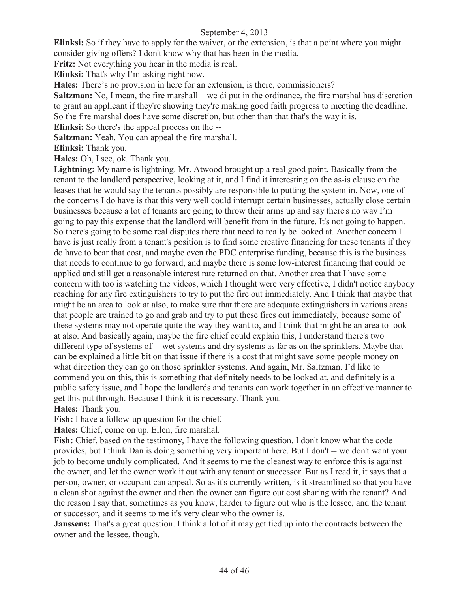**Elinksi:** So if they have to apply for the waiver, or the extension, is that a point where you might consider giving offers? I don't know why that has been in the media.

**Fritz:** Not everything you hear in the media is real.

**Elinksi:** That's why I'm asking right now.

**Hales:** There's no provision in here for an extension, is there, commissioners?

**Saltzman:** No, I mean, the fire marshall—we di put in the ordinance, the fire marshal has discretion to grant an applicant if they're showing they're making good faith progress to meeting the deadline.

So the fire marshal does have some discretion, but other than that that's the way it is.

**Elinksi:** So there's the appeal process on the --

**Saltzman:** Yeah. You can appeal the fire marshall.

**Elinksi:** Thank you.

**Hales:** Oh, I see, ok. Thank you.

**Lightning:** My name is lightning. Mr. Atwood brought up a real good point. Basically from the tenant to the landlord perspective, looking at it, and I find it interesting on the as-is clause on the leases that he would say the tenants possibly are responsible to putting the system in. Now, one of the concerns I do have is that this very well could interrupt certain businesses, actually close certain businesses because a lot of tenants are going to throw their arms up and say there's no way I'm going to pay this expense that the landlord will benefit from in the future. It's not going to happen. So there's going to be some real disputes there that need to really be looked at. Another concern I have is just really from a tenant's position is to find some creative financing for these tenants if they do have to bear that cost, and maybe even the PDC enterprise funding, because this is the business that needs to continue to go forward, and maybe there is some low-interest financing that could be applied and still get a reasonable interest rate returned on that. Another area that I have some concern with too is watching the videos, which I thought were very effective, I didn't notice anybody reaching for any fire extinguishers to try to put the fire out immediately. And I think that maybe that might be an area to look at also, to make sure that there are adequate extinguishers in various areas that people are trained to go and grab and try to put these fires out immediately, because some of these systems may not operate quite the way they want to, and I think that might be an area to look at also. And basically again, maybe the fire chief could explain this, I understand there's two different type of systems of -- wet systems and dry systems as far as on the sprinklers. Maybe that can be explained a little bit on that issue if there is a cost that might save some people money on what direction they can go on those sprinkler systems. And again, Mr. Saltzman, I'd like to commend you on this, this is something that definitely needs to be looked at, and definitely is a public safety issue, and I hope the landlords and tenants can work together in an effective manner to get this put through. Because I think it is necessary. Thank you. **Hales:** Thank you.

**Fish:** I have a follow-up question for the chief.

**Hales:** Chief, come on up. Ellen, fire marshal.

**Fish:** Chief, based on the testimony, I have the following question. I don't know what the code provides, but I think Dan is doing something very important here. But I don't -- we don't want your job to become unduly complicated. And it seems to me the cleanest way to enforce this is against the owner, and let the owner work it out with any tenant or successor. But as I read it, it says that a person, owner, or occupant can appeal. So as it's currently written, is it streamlined so that you have a clean shot against the owner and then the owner can figure out cost sharing with the tenant? And the reason I say that, sometimes as you know, harder to figure out who is the lessee, and the tenant or successor, and it seems to me it's very clear who the owner is.

**Janssens:** That's a great question. I think a lot of it may get tied up into the contracts between the owner and the lessee, though.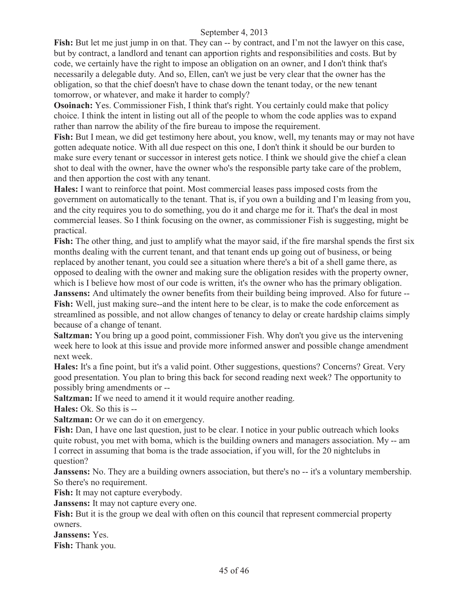**Fish:** But let me just jump in on that. They can -- by contract, and I'm not the lawyer on this case, but by contract, a landlord and tenant can apportion rights and responsibilities and costs. But by code, we certainly have the right to impose an obligation on an owner, and I don't think that's necessarily a delegable duty. And so, Ellen, can't we just be very clear that the owner has the obligation, so that the chief doesn't have to chase down the tenant today, or the new tenant tomorrow, or whatever, and make it harder to comply?

**Osoinach:** Yes. Commissioner Fish, I think that's right. You certainly could make that policy choice. I think the intent in listing out all of the people to whom the code applies was to expand rather than narrow the ability of the fire bureau to impose the requirement.

**Fish:** But I mean, we did get testimony here about, you know, well, my tenants may or may not have gotten adequate notice. With all due respect on this one, I don't think it should be our burden to make sure every tenant or successor in interest gets notice. I think we should give the chief a clean shot to deal with the owner, have the owner who's the responsible party take care of the problem, and then apportion the cost with any tenant.

**Hales:** I want to reinforce that point. Most commercial leases pass imposed costs from the government on automatically to the tenant. That is, if you own a building and I'm leasing from you, and the city requires you to do something, you do it and charge me for it. That's the deal in most commercial leases. So I think focusing on the owner, as commissioner Fish is suggesting, might be practical.

**Fish:** The other thing, and just to amplify what the mayor said, if the fire marshal spends the first six months dealing with the current tenant, and that tenant ends up going out of business, or being replaced by another tenant, you could see a situation where there's a bit of a shell game there, as opposed to dealing with the owner and making sure the obligation resides with the property owner, which is I believe how most of our code is written, it's the owner who has the primary obligation.

**Janssens:** And ultimately the owner benefits from their building being improved. Also for future --**Fish:** Well, just making sure--and the intent here to be clear, is to make the code enforcement as streamlined as possible, and not allow changes of tenancy to delay or create hardship claims simply because of a change of tenant.

**Saltzman:** You bring up a good point, commissioner Fish. Why don't you give us the intervening week here to look at this issue and provide more informed answer and possible change amendment next week.

**Hales:** It's a fine point, but it's a valid point. Other suggestions, questions? Concerns? Great. Very good presentation. You plan to bring this back for second reading next week? The opportunity to possibly bring amendments or --

**Saltzman:** If we need to amend it it would require another reading.

**Hales:** Ok. So this is --

**Saltzman:** Or we can do it on emergency.

**Fish:** Dan, I have one last question, just to be clear. I notice in your public outreach which looks quite robust, you met with boma, which is the building owners and managers association. My -- am I correct in assuming that boma is the trade association, if you will, for the 20 nightclubs in question?

**Janssens:** No. They are a building owners association, but there's no -- it's a voluntary membership. So there's no requirement.

Fish: It may not capture everybody.

**Janssens:** It may not capture every one.

**Fish:** But it is the group we deal with often on this council that represent commercial property owners.

**Janssens:** Yes.

**Fish:** Thank you.